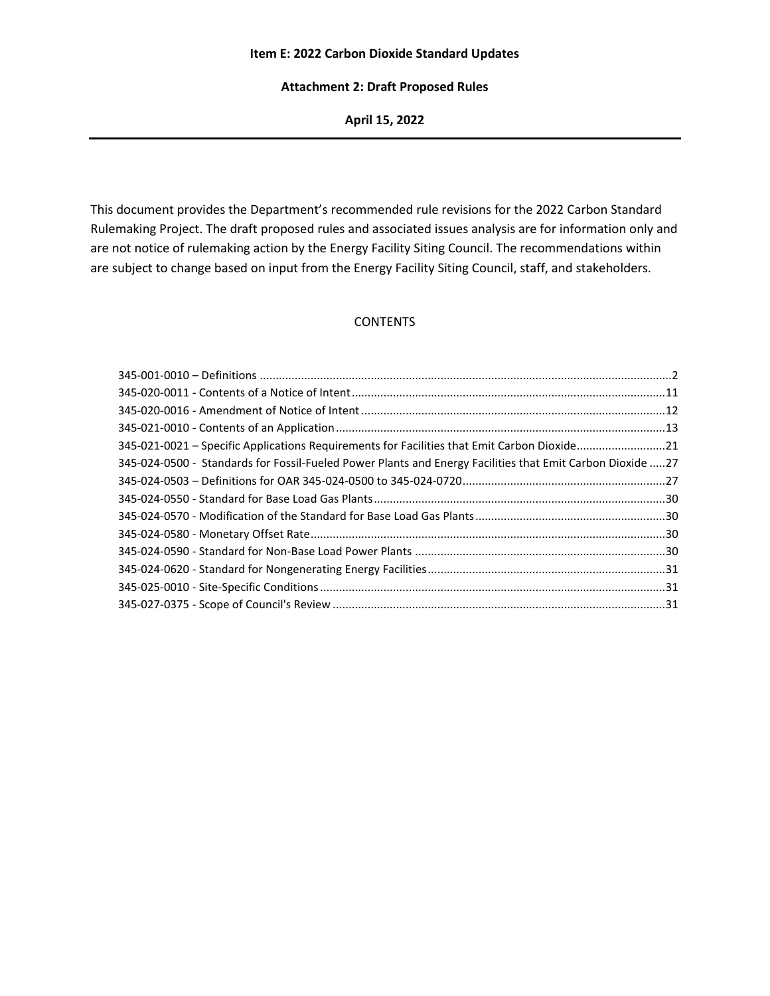### **Item E: 2022 Carbon Dioxide Standard Updates**

### **Attachment 2: Draft Proposed Rules**

**April 15, 2022**

This document provides the Department's recommended rule revisions for the 2022 Carbon Standard Rulemaking Project. The draft proposed rules and associated issues analysis are for information only and are not notice of rulemaking action by the Energy Facility Siting Council. The recommendations within are subject to change based on input from the Energy Facility Siting Council, staff, and stakeholders.

### **CONTENTS**

| 345-021-0021 - Specific Applications Requirements for Facilities that Emit Carbon Dioxide21               |  |
|-----------------------------------------------------------------------------------------------------------|--|
| 345-024-0500 - Standards for Fossil-Fueled Power Plants and Energy Facilities that Emit Carbon Dioxide 27 |  |
|                                                                                                           |  |
|                                                                                                           |  |
|                                                                                                           |  |
|                                                                                                           |  |
|                                                                                                           |  |
|                                                                                                           |  |
|                                                                                                           |  |
|                                                                                                           |  |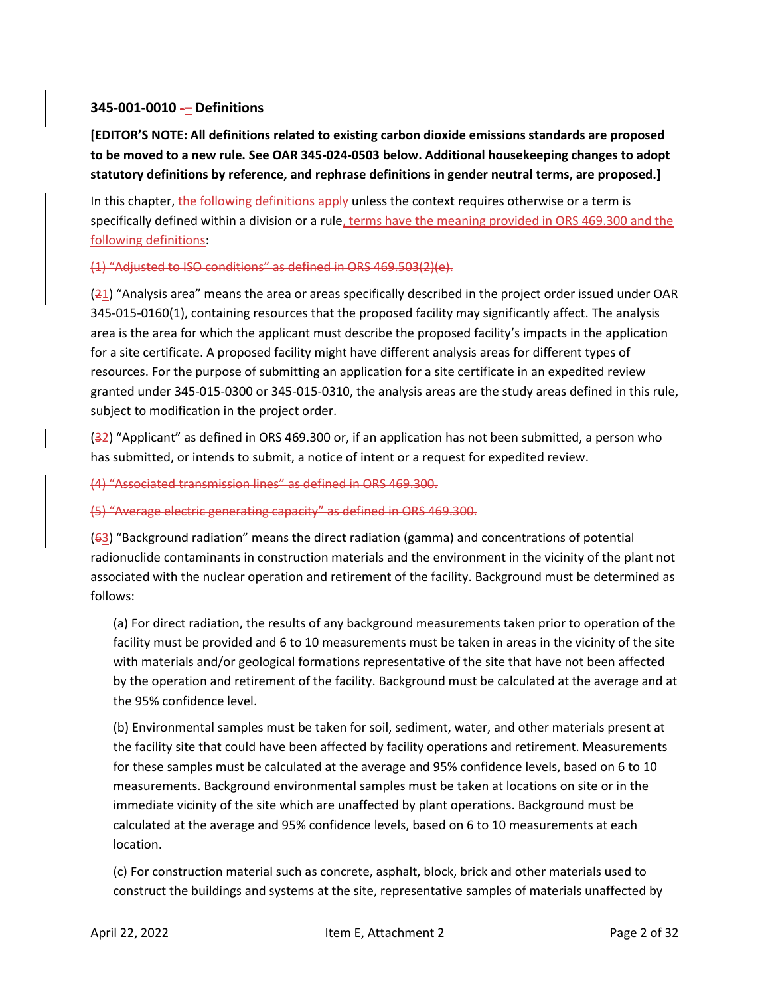# <span id="page-1-0"></span>**345-001-0010 -– Definitions**

**[EDITOR'S NOTE: All definitions related to existing carbon dioxide emissions standards are proposed to be moved to a new rule. See OAR 345-024-0503 below. Additional housekeeping changes to adopt statutory definitions by reference, and rephrase definitions in gender neutral terms, are proposed.]**

In this chapter, the following definitions apply unless the context requires otherwise or a term is specifically defined within a division or a rule, terms have the meaning provided in ORS 469.300 and the following definitions:

# (1) "Adjusted to ISO conditions" as defined in ORS 469.503(2)(e).

 $(21)$  "Analysis area" means the area or areas specifically described in the project order issued under OAR 345-015-0160(1), containing resources that the proposed facility may significantly affect. The analysis area is the area for which the applicant must describe the proposed facility's impacts in the application for a site certificate. A proposed facility might have different analysis areas for different types of resources. For the purpose of submitting an application for a site certificate in an expedited review granted under 345-015-0300 or 345-015-0310, the analysis areas are the study areas defined in this rule, subject to modification in the project order.

(32) "Applicant" as defined in ORS 469.300 or, if an application has not been submitted, a person who has submitted, or intends to submit, a notice of intent or a request for expedited review.

(4) "Associated transmission lines" as defined in ORS 469.300.

(5) "Average electric generating capacity" as defined in ORS 469.300.

(63) "Background radiation" means the direct radiation (gamma) and concentrations of potential radionuclide contaminants in construction materials and the environment in the vicinity of the plant not associated with the nuclear operation and retirement of the facility. Background must be determined as follows:

(a) For direct radiation, the results of any background measurements taken prior to operation of the facility must be provided and 6 to 10 measurements must be taken in areas in the vicinity of the site with materials and/or geological formations representative of the site that have not been affected by the operation and retirement of the facility. Background must be calculated at the average and at the 95% confidence level.

(b) Environmental samples must be taken for soil, sediment, water, and other materials present at the facility site that could have been affected by facility operations and retirement. Measurements for these samples must be calculated at the average and 95% confidence levels, based on 6 to 10 measurements. Background environmental samples must be taken at locations on site or in the immediate vicinity of the site which are unaffected by plant operations. Background must be calculated at the average and 95% confidence levels, based on 6 to 10 measurements at each location.

(c) For construction material such as concrete, asphalt, block, brick and other materials used to construct the buildings and systems at the site, representative samples of materials unaffected by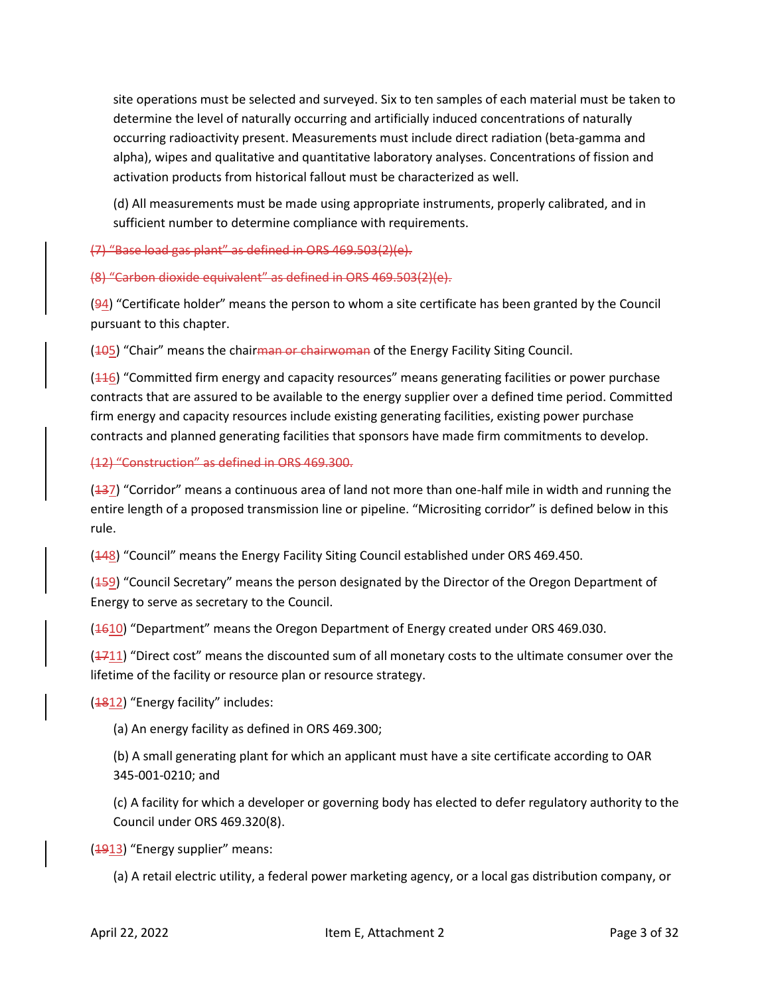site operations must be selected and surveyed. Six to ten samples of each material must be taken to determine the level of naturally occurring and artificially induced concentrations of naturally occurring radioactivity present. Measurements must include direct radiation (beta-gamma and alpha), wipes and qualitative and quantitative laboratory analyses. Concentrations of fission and activation products from historical fallout must be characterized as well.

(d) All measurements must be made using appropriate instruments, properly calibrated, and in sufficient number to determine compliance with requirements.

(7) "Base load gas plant" as defined in ORS 469.503(2)(e).

(8) "Carbon dioxide equivalent" as defined in ORS 469.503(2)(e).

(94) "Certificate holder" means the person to whom a site certificate has been granted by the Council pursuant to this chapter.

(405) "Chair" means the chair<del>man or chairwoman</del> of the Energy Facility Siting Council.

 $(116)$  "Committed firm energy and capacity resources" means generating facilities or power purchase contracts that are assured to be available to the energy supplier over a defined time period. Committed firm energy and capacity resources include existing generating facilities, existing power purchase contracts and planned generating facilities that sponsors have made firm commitments to develop.

(12) "Construction" as defined in ORS 469.300.

 $(137)$  "Corridor" means a continuous area of land not more than one-half mile in width and running the entire length of a proposed transmission line or pipeline. "Micrositing corridor" is defined below in this rule.

( $\frac{148}{8}$ ) "Council" means the Energy Facility Siting Council established under ORS 469.450.

(459) "Council Secretary" means the person designated by the Director of the Oregon Department of Energy to serve as secretary to the Council.

 $(4610)$  "Department" means the Oregon Department of Energy created under ORS 469.030.

 $(1711)$  "Direct cost" means the discounted sum of all monetary costs to the ultimate consumer over the lifetime of the facility or resource plan or resource strategy.

(1812) "Energy facility" includes:

(a) An energy facility as defined in ORS 469.300;

(b) A small generating plant for which an applicant must have a site certificate according to OAR 345-001-0210; and

(c) A facility for which a developer or governing body has elected to defer regulatory authority to the Council under ORS 469.320(8).

(1913) "Energy supplier" means:

(a) A retail electric utility, a federal power marketing agency, or a local gas distribution company, or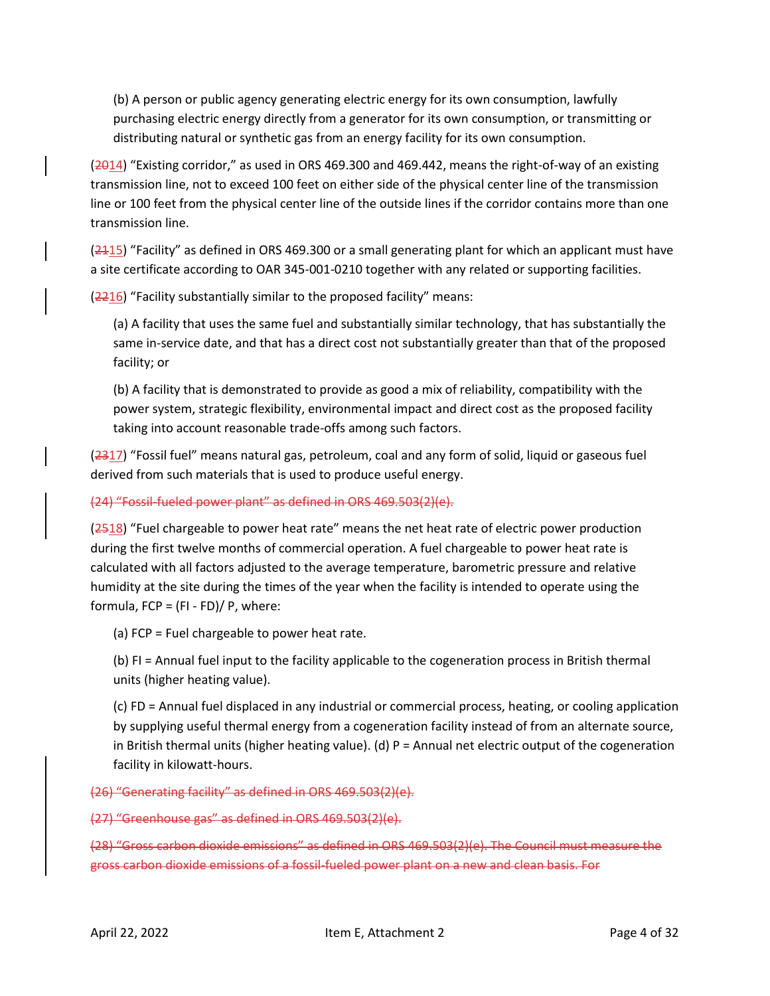(b) A person or public agency generating electric energy for its own consumption, lawfully purchasing electric energy directly from a generator for its own consumption, or transmitting or distributing natural or synthetic gas from an energy facility for its own consumption.

(2014) "Existing corridor," as used in ORS 469.300 and 469.442, means the right-of-way of an existing transmission line, not to exceed 100 feet on either side of the physical center line of the transmission line or 100 feet from the physical center line of the outside lines if the corridor contains more than one transmission line.

 $(2.115)$  "Facility" as defined in ORS 469.300 or a small generating plant for which an applicant must have a site certificate according to OAR 345-001-0210 together with any related or supporting facilities.

(2216) "Facility substantially similar to the proposed facility" means:

(a) A facility that uses the same fuel and substantially similar technology, that has substantially the same in-service date, and that has a direct cost not substantially greater than that of the proposed facility; or

(b) A facility that is demonstrated to provide as good a mix of reliability, compatibility with the power system, strategic flexibility, environmental impact and direct cost as the proposed facility taking into account reasonable trade-offs among such factors.

(2317) "Fossil fuel" means natural gas, petroleum, coal and any form of solid, liquid or gaseous fuel derived from such materials that is used to produce useful energy.

## (24) "Fossil-fueled power plant" as defined in ORS 469.503(2)(e).

(2518) "Fuel chargeable to power heat rate" means the net heat rate of electric power production during the first twelve months of commercial operation. A fuel chargeable to power heat rate is calculated with all factors adjusted to the average temperature, barometric pressure and relative humidity at the site during the times of the year when the facility is intended to operate using the formula,  $FCP = (FI - FD)/P$ , where:

(a) FCP = Fuel chargeable to power heat rate.

(b) FI = Annual fuel input to the facility applicable to the cogeneration process in British thermal units (higher heating value).

(c) FD = Annual fuel displaced in any industrial or commercial process, heating, or cooling application by supplying useful thermal energy from a cogeneration facility instead of from an alternate source, in British thermal units (higher heating value). (d) P = Annual net electric output of the cogeneration facility in kilowatt-hours.

(26) "Generating facility" as defined in ORS 469.503(2)(e).

(27) "Greenhouse gas" as defined in ORS 469.503(2)(e).

(28) "Gross carbon dioxide emissions" as defined in ORS 469.503(2)(e). The Council must measure the gross carbon dioxide emissions of a fossil-fueled power plant on a new and clean basis. For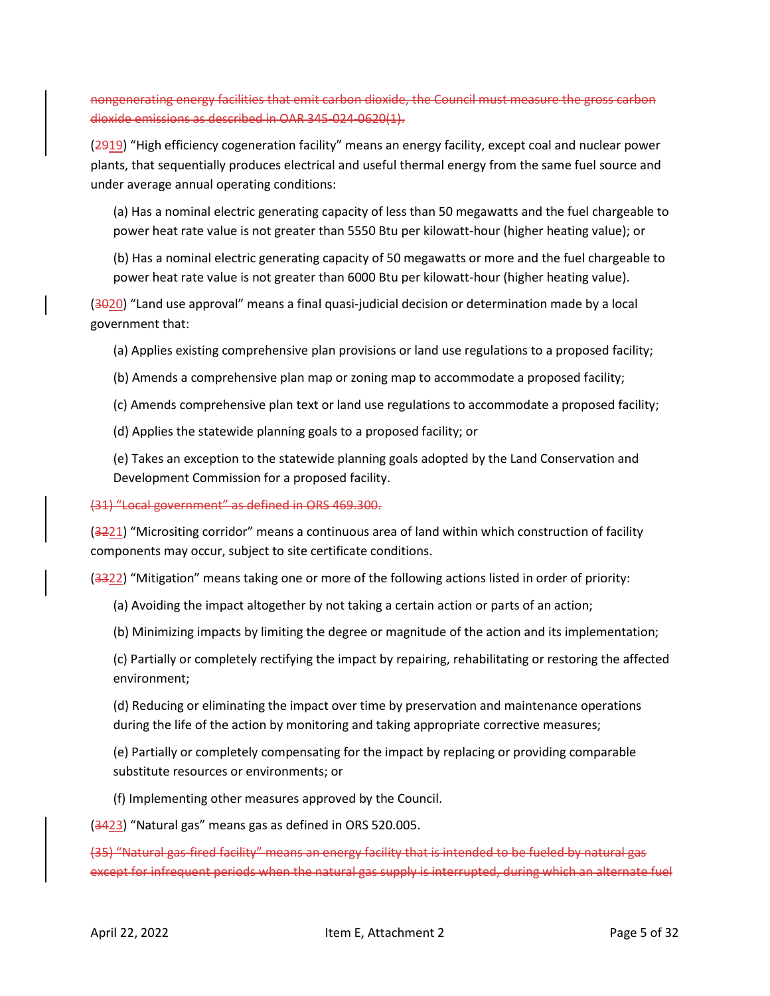nongenerating energy facilities that emit carbon dioxide, the Council must measure the gross carbon dioxide emissions as described in OAR 345-024-0620(1).

(2919) "High efficiency cogeneration facility" means an energy facility, except coal and nuclear power plants, that sequentially produces electrical and useful thermal energy from the same fuel source and under average annual operating conditions:

(a) Has a nominal electric generating capacity of less than 50 megawatts and the fuel chargeable to power heat rate value is not greater than 5550 Btu per kilowatt-hour (higher heating value); or

(b) Has a nominal electric generating capacity of 50 megawatts or more and the fuel chargeable to power heat rate value is not greater than 6000 Btu per kilowatt-hour (higher heating value).

(3020) "Land use approval" means a final quasi-judicial decision or determination made by a local government that:

(a) Applies existing comprehensive plan provisions or land use regulations to a proposed facility;

- (b) Amends a comprehensive plan map or zoning map to accommodate a proposed facility;
- (c) Amends comprehensive plan text or land use regulations to accommodate a proposed facility;
- (d) Applies the statewide planning goals to a proposed facility; or

(e) Takes an exception to the statewide planning goals adopted by the Land Conservation and Development Commission for a proposed facility.

## (31) "Local government" as defined in ORS 469.300.

(3221) "Micrositing corridor" means a continuous area of land within which construction of facility components may occur, subject to site certificate conditions.

(3322) "Mitigation" means taking one or more of the following actions listed in order of priority:

- (a) Avoiding the impact altogether by not taking a certain action or parts of an action;
- (b) Minimizing impacts by limiting the degree or magnitude of the action and its implementation;
- (c) Partially or completely rectifying the impact by repairing, rehabilitating or restoring the affected environment;

(d) Reducing or eliminating the impact over time by preservation and maintenance operations during the life of the action by monitoring and taking appropriate corrective measures;

(e) Partially or completely compensating for the impact by replacing or providing comparable substitute resources or environments; or

(f) Implementing other measures approved by the Council.

(3423) "Natural gas" means gas as defined in ORS 520.005.

(35) "Natural gas-fired facility" means an energy facility that is intended to be fueled by natural gas except for infrequent periods when the natural gas supply is interrupted, during which an alternate fuel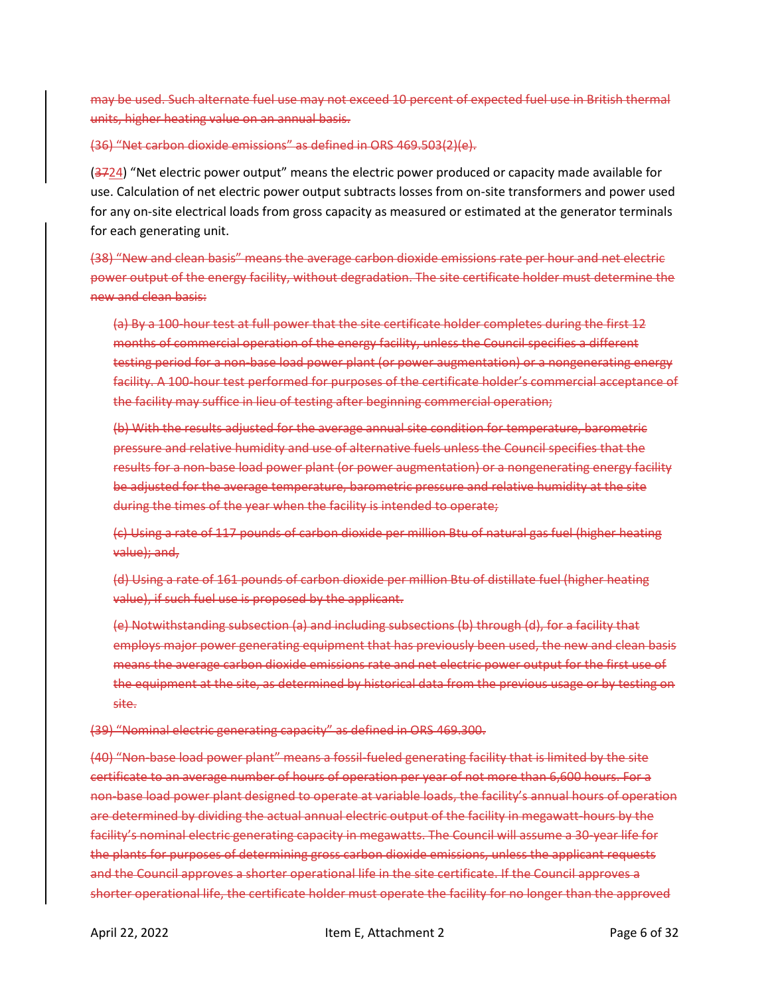may be used. Such alternate fuel use may not exceed 10 percent of expected fuel use in British thermal units, higher heating value on an annual basis.

(36) "Net carbon dioxide emissions" as defined in ORS 469.503(2)(e).

 $(3724)$  "Net electric power output" means the electric power produced or capacity made available for use. Calculation of net electric power output subtracts losses from on-site transformers and power used for any on-site electrical loads from gross capacity as measured or estimated at the generator terminals for each generating unit.

(38) "New and clean basis" means the average carbon dioxide emissions rate per hour and net electric power output of the energy facility, without degradation. The site certificate holder must determine the new and clean basis:

(a) By a 100-hour test at full power that the site certificate holder completes during the first 12 months of commercial operation of the energy facility, unless the Council specifies a different testing period for a non-base load power plant (or power augmentation) or a nongenerating energy facility. A 100-hour test performed for purposes of the certificate holder's commercial acceptance of the facility may suffice in lieu of testing after beginning commercial operation;

(b) With the results adjusted for the average annual site condition for temperature, barometric pressure and relative humidity and use of alternative fuels unless the Council specifies that the results for a non-base load power plant (or power augmentation) or a nongenerating energy facility be adjusted for the average temperature, barometric pressure and relative humidity at the site during the times of the year when the facility is intended to operate;

(c) Using a rate of 117 pounds of carbon dioxide per million Btu of natural gas fuel (higher heating value); and,

(d) Using a rate of 161 pounds of carbon dioxide per million Btu of distillate fuel (higher heating value), if such fuel use is proposed by the applicant.

(e) Notwithstanding subsection (a) and including subsections (b) through (d), for a facility that employs major power generating equipment that has previously been used, the new and clean basis means the average carbon dioxide emissions rate and net electric power output for the first use of the equipment at the site, as determined by historical data from the previous usage or by testing on site.

(39) "Nominal electric generating capacity" as defined in ORS 469.300.

(40) "Non-base load power plant" means a fossil-fueled generating facility that is limited by the site certificate to an average number of hours of operation per year of not more than 6,600 hours. For a non-base load power plant designed to operate at variable loads, the facility's annual hours of operation are determined by dividing the actual annual electric output of the facility in megawatt-hours by the facility's nominal electric generating capacity in megawatts. The Council will assume a 30-year life for the plants for purposes of determining gross carbon dioxide emissions, unless the applicant requests and the Council approves a shorter operational life in the site certificate. If the Council approves a shorter operational life, the certificate holder must operate the facility for no longer than the approved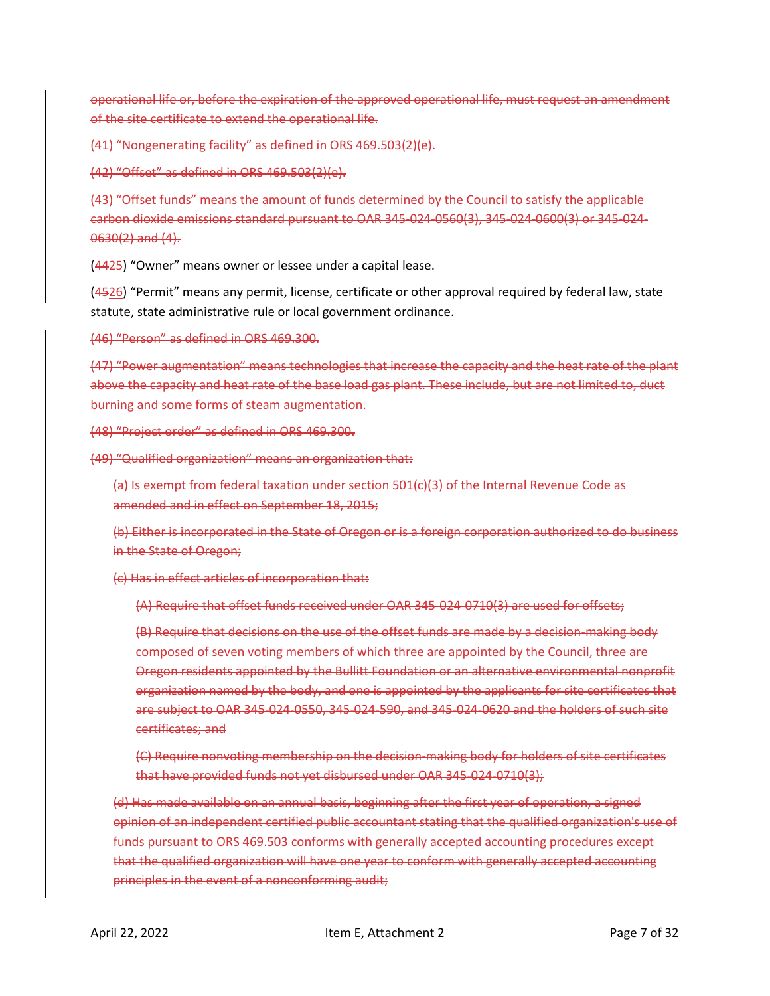operational life or, before the expiration of the approved operational life, must request an amendment of the site certificate to extend the operational life.

(41) "Nongenerating facility" as defined in ORS 469.503(2)(e).

(42) "Offset" as defined in ORS 469.503(2)(e).

(43) "Offset funds" means the amount of funds determined by the Council to satisfy the applicable carbon dioxide emissions standard pursuant to OAR 345-024-0560(3), 345-024-0600(3) or 345-024- 0630(2) and (4).

(4425) "Owner" means owner or lessee under a capital lease.

(4526) "Permit" means any permit, license, certificate or other approval required by federal law, state statute, state administrative rule or local government ordinance.

(46) "Person" as defined in ORS 469.300.

(47) "Power augmentation" means technologies that increase the capacity and the heat rate of the plant above the capacity and heat rate of the base load gas plant. These include, but are not limited to, duct burning and some forms of steam augmentation.

(48) "Project order" as defined in ORS 469.300.

(49) "Qualified organization" means an organization that:

(a) Is exempt from federal taxation under section 501(c)(3) of the Internal Revenue Code as amended and in effect on September 18, 2015;

(b) Either is incorporated in the State of Oregon or is a foreign corporation authorized to do business in the State of Oregon;

(c) Has in effect articles of incorporation that:

(A) Require that offset funds received under OAR 345-024-0710(3) are used for offsets;

(B) Require that decisions on the use of the offset funds are made by a decision-making body composed of seven voting members of which three are appointed by the Council, three are Oregon residents appointed by the Bullitt Foundation or an alternative environmental nonprofit organization named by the body, and one is appointed by the applicants for site certificates that are subject to OAR 345-024-0550, 345-024-590, and 345-024-0620 and the holders of such site certificates; and

(C) Require nonvoting membership on the decision-making body for holders of site certificates that have provided funds not yet disbursed under OAR 345-024-0710(3);

(d) Has made available on an annual basis, beginning after the first year of operation, a signed opinion of an independent certified public accountant stating that the qualified organization's use of funds pursuant to ORS 469.503 conforms with generally accepted accounting procedures except that the qualified organization will have one year to conform with generally accepted accounting principles in the event of a nonconforming audit;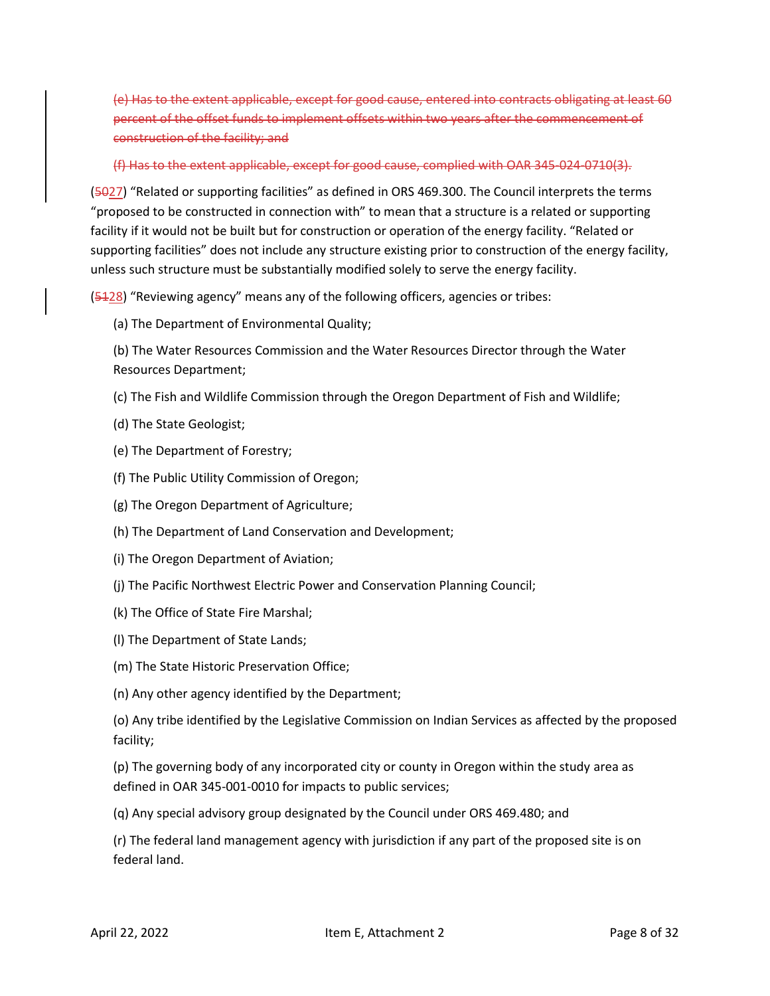(e) Has to the extent applicable, except for good cause, entered into contracts obligating at least 60 percent of the offset funds to implement offsets within two years after the commencement of construction of the facility; and

(f) Has to the extent applicable, except for good cause, complied with OAR 345-024-0710(3).

(5027) "Related or supporting facilities" as defined in ORS 469.300. The Council interprets the terms "proposed to be constructed in connection with" to mean that a structure is a related or supporting facility if it would not be built but for construction or operation of the energy facility. "Related or supporting facilities" does not include any structure existing prior to construction of the energy facility, unless such structure must be substantially modified solely to serve the energy facility.

(5428) "Reviewing agency" means any of the following officers, agencies or tribes:

(a) The Department of Environmental Quality;

(b) The Water Resources Commission and the Water Resources Director through the Water Resources Department;

- (c) The Fish and Wildlife Commission through the Oregon Department of Fish and Wildlife;
- (d) The State Geologist;
- (e) The Department of Forestry;
- (f) The Public Utility Commission of Oregon;
- (g) The Oregon Department of Agriculture;
- (h) The Department of Land Conservation and Development;
- (i) The Oregon Department of Aviation;
- (j) The Pacific Northwest Electric Power and Conservation Planning Council;
- (k) The Office of State Fire Marshal;
- (l) The Department of State Lands;
- (m) The State Historic Preservation Office;
- (n) Any other agency identified by the Department;

(o) Any tribe identified by the Legislative Commission on Indian Services as affected by the proposed facility;

(p) The governing body of any incorporated city or county in Oregon within the study area as defined in OAR 345-001-0010 for impacts to public services;

(q) Any special advisory group designated by the Council under ORS 469.480; and

(r) The federal land management agency with jurisdiction if any part of the proposed site is on federal land.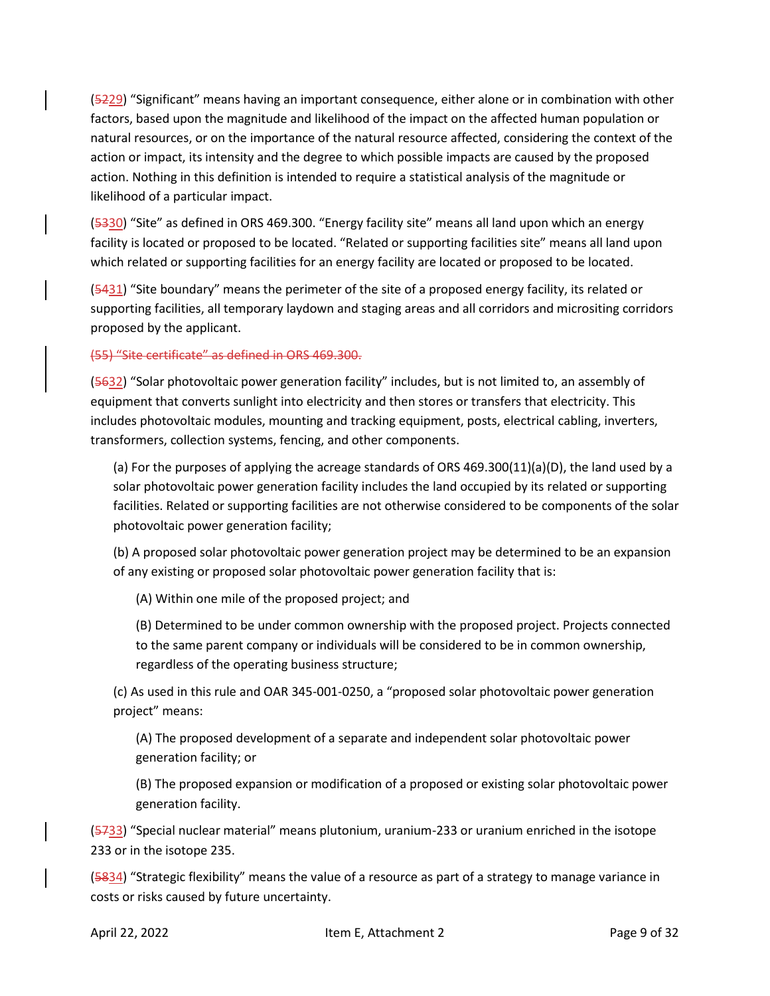(5229) "Significant" means having an important consequence, either alone or in combination with other factors, based upon the magnitude and likelihood of the impact on the affected human population or natural resources, or on the importance of the natural resource affected, considering the context of the action or impact, its intensity and the degree to which possible impacts are caused by the proposed action. Nothing in this definition is intended to require a statistical analysis of the magnitude or likelihood of a particular impact.

(5330) "Site" as defined in ORS 469.300. "Energy facility site" means all land upon which an energy facility is located or proposed to be located. "Related or supporting facilities site" means all land upon which related or supporting facilities for an energy facility are located or proposed to be located.

(5431) "Site boundary" means the perimeter of the site of a proposed energy facility, its related or supporting facilities, all temporary laydown and staging areas and all corridors and micrositing corridors proposed by the applicant.

(55) "Site certificate" as defined in ORS 469.300.

(5632) "Solar photovoltaic power generation facility" includes, but is not limited to, an assembly of equipment that converts sunlight into electricity and then stores or transfers that electricity. This includes photovoltaic modules, mounting and tracking equipment, posts, electrical cabling, inverters, transformers, collection systems, fencing, and other components.

(a) For the purposes of applying the acreage standards of ORS 469.300(11)(a)(D), the land used by a solar photovoltaic power generation facility includes the land occupied by its related or supporting facilities. Related or supporting facilities are not otherwise considered to be components of the solar photovoltaic power generation facility;

(b) A proposed solar photovoltaic power generation project may be determined to be an expansion of any existing or proposed solar photovoltaic power generation facility that is:

(A) Within one mile of the proposed project; and

(B) Determined to be under common ownership with the proposed project. Projects connected to the same parent company or individuals will be considered to be in common ownership, regardless of the operating business structure;

(c) As used in this rule and OAR 345-001-0250, a "proposed solar photovoltaic power generation project" means:

(A) The proposed development of a separate and independent solar photovoltaic power generation facility; or

(B) The proposed expansion or modification of a proposed or existing solar photovoltaic power generation facility.

(5733) "Special nuclear material" means plutonium, uranium-233 or uranium enriched in the isotope 233 or in the isotope 235.

(5834) "Strategic flexibility" means the value of a resource as part of a strategy to manage variance in costs or risks caused by future uncertainty.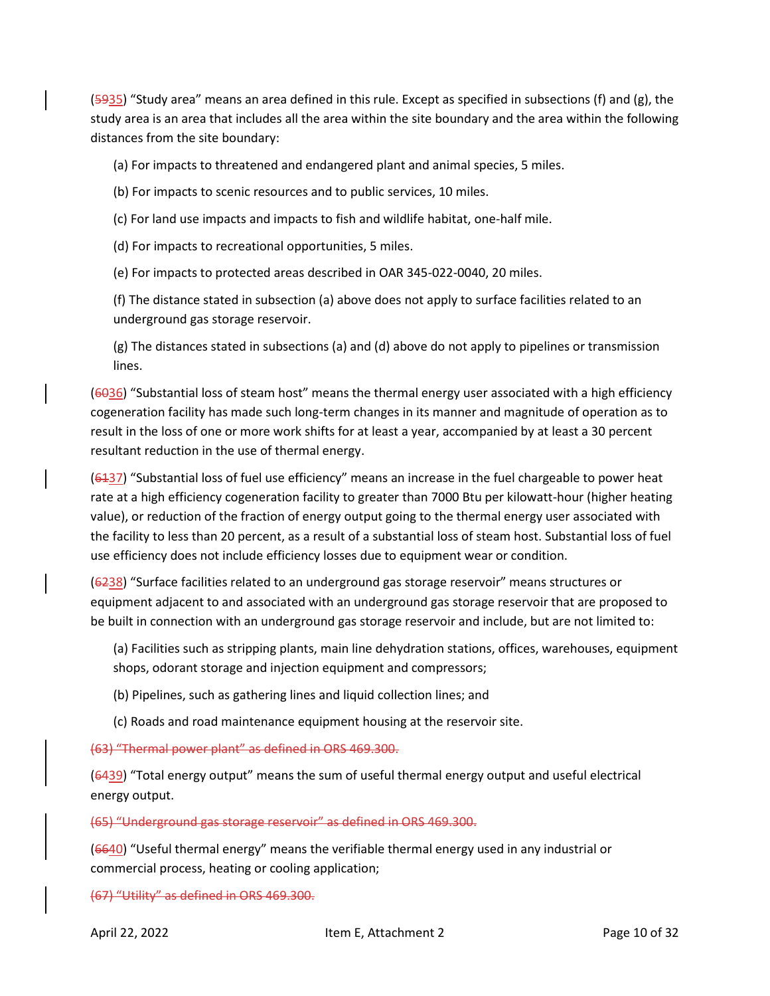$(5935)$  "Study area" means an area defined in this rule. Except as specified in subsections (f) and (g), the study area is an area that includes all the area within the site boundary and the area within the following distances from the site boundary:

(a) For impacts to threatened and endangered plant and animal species, 5 miles.

- (b) For impacts to scenic resources and to public services, 10 miles.
- (c) For land use impacts and impacts to fish and wildlife habitat, one-half mile.
- (d) For impacts to recreational opportunities, 5 miles.
- (e) For impacts to protected areas described in OAR 345-022-0040, 20 miles.

(f) The distance stated in subsection (a) above does not apply to surface facilities related to an underground gas storage reservoir.

(g) The distances stated in subsections (a) and (d) above do not apply to pipelines or transmission lines.

(6036) "Substantial loss of steam host" means the thermal energy user associated with a high efficiency cogeneration facility has made such long-term changes in its manner and magnitude of operation as to result in the loss of one or more work shifts for at least a year, accompanied by at least a 30 percent resultant reduction in the use of thermal energy.

(6137) "Substantial loss of fuel use efficiency" means an increase in the fuel chargeable to power heat rate at a high efficiency cogeneration facility to greater than 7000 Btu per kilowatt-hour (higher heating value), or reduction of the fraction of energy output going to the thermal energy user associated with the facility to less than 20 percent, as a result of a substantial loss of steam host. Substantial loss of fuel use efficiency does not include efficiency losses due to equipment wear or condition.

(6238) "Surface facilities related to an underground gas storage reservoir" means structures or equipment adjacent to and associated with an underground gas storage reservoir that are proposed to be built in connection with an underground gas storage reservoir and include, but are not limited to:

(a) Facilities such as stripping plants, main line dehydration stations, offices, warehouses, equipment shops, odorant storage and injection equipment and compressors;

- (b) Pipelines, such as gathering lines and liquid collection lines; and
- (c) Roads and road maintenance equipment housing at the reservoir site.

(63) "Thermal power plant" as defined in ORS 469.300.

(6439) "Total energy output" means the sum of useful thermal energy output and useful electrical energy output.

(65) "Underground gas storage reservoir" as defined in ORS 469.300.

(6640) "Useful thermal energy" means the verifiable thermal energy used in any industrial or commercial process, heating or cooling application;

(67) "Utility" as defined in ORS 469.300.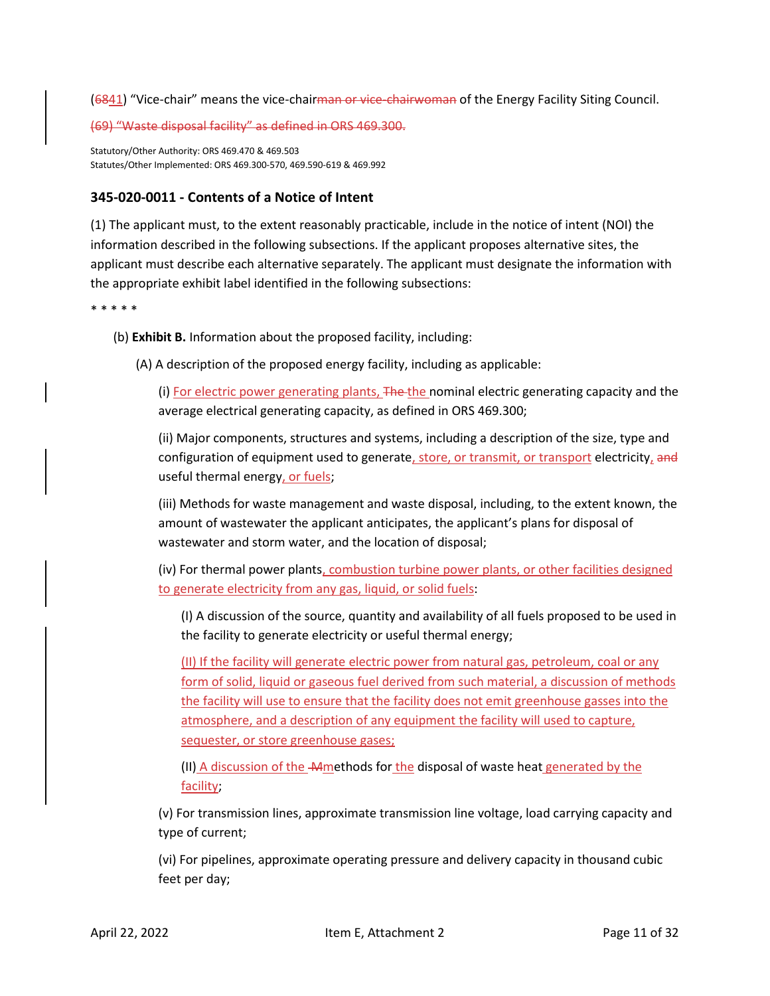(6841) "Vice-chair" means the vice-chairman or vice-chairwoman of the Energy Facility Siting Council.

(69) "Waste disposal facility" as defined in ORS 469.300.

Statutory/Other Authority: ORS 469.470 & 469.503 Statutes/Other Implemented: ORS 469.300-570, 469.590-619 & 469.992

# <span id="page-10-0"></span>**345-020-0011 - Contents of a Notice of Intent**

(1) The applicant must, to the extent reasonably practicable, include in the notice of intent (NOI) the information described in the following subsections. If the applicant proposes alternative sites, the applicant must describe each alternative separately. The applicant must designate the information with the appropriate exhibit label identified in the following subsections:

\* \* \* \* \*

- (b) **Exhibit B.** Information about the proposed facility, including:
	- (A) A description of the proposed energy facility, including as applicable:

(i) For electric power generating plants, The the nominal electric generating capacity and the average electrical generating capacity, as defined in ORS 469.300;

(ii) Major components, structures and systems, including a description of the size, type and configuration of equipment used to generate, store, or transmit, or transport electricity, and useful thermal energy, or fuels;

(iii) Methods for waste management and waste disposal, including, to the extent known, the amount of wastewater the applicant anticipates, the applicant's plans for disposal of wastewater and storm water, and the location of disposal;

(iv) For thermal power plants, combustion turbine power plants, or other facilities designed to generate electricity from any gas, liquid, or solid fuels:

(I) A discussion of the source, quantity and availability of all fuels proposed to be used in the facility to generate electricity or useful thermal energy;

(II) If the facility will generate electric power from natural gas, petroleum, coal or any form of solid, liquid or gaseous fuel derived from such material, a discussion of methods the facility will use to ensure that the facility does not emit greenhouse gasses into the atmosphere, and a description of any equipment the facility will used to capture, sequester, or store greenhouse gases;

(II) A discussion of the **Mmethods for the disposal of waste heat generated by the** facility;

(v) For transmission lines, approximate transmission line voltage, load carrying capacity and type of current;

(vi) For pipelines, approximate operating pressure and delivery capacity in thousand cubic feet per day;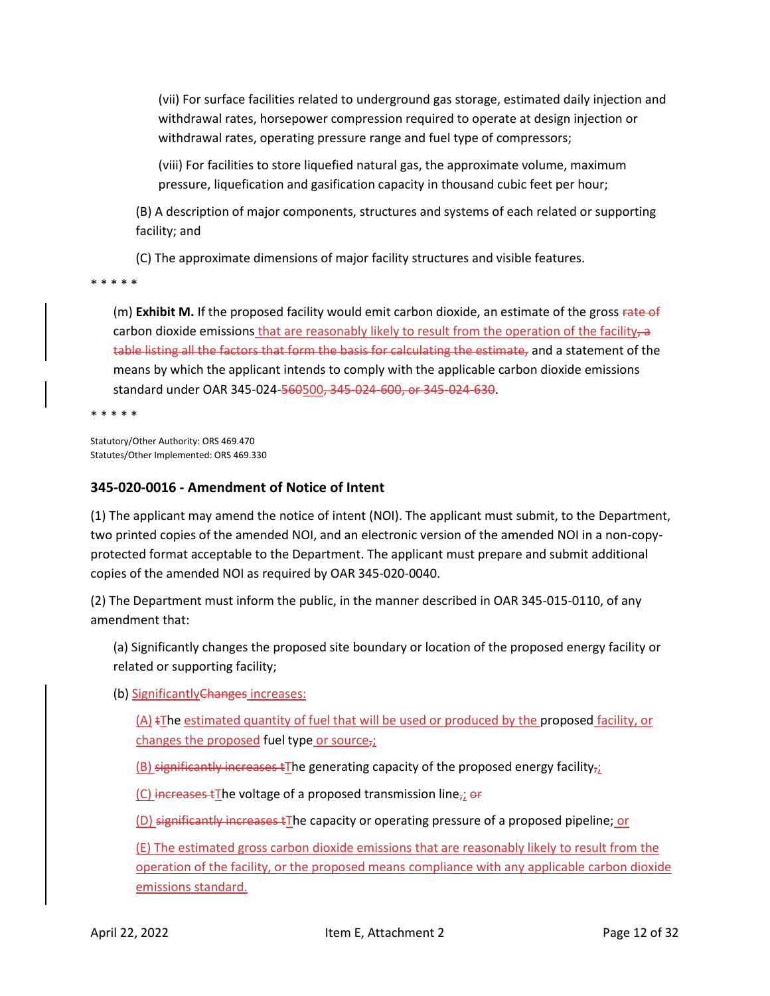(vii) For surface facilities related to underground gas storage, estimated daily injection and withdrawal rates, horsepower compression required to operate at design injection or withdrawal rates, operating pressure range and fuel type of compressors;

(viii) For facilities to store liquefied natural gas, the approximate volume, maximum pressure, liquefication and gasification capacity in thousand cubic feet per hour;

(B) A description of major components, structures and systems of each related or supporting facility; and

(C) The approximate dimensions of major facility structures and visible features.

\* \* \* \* \*

(m) **Exhibit M.** If the proposed facility would emit carbon dioxide, an estimate of the gross rate of carbon dioxide emissions that are reasonably likely to result from the operation of the facility, a table listing all the factors that form the basis for calculating the estimate, and a statement of the means by which the applicant intends to comply with the applicable carbon dioxide emissions standard under OAR 345-024-560500, 345-024-600, or 345-024-630.

\* \* \* \* \*

Statutory/Other Authority: ORS 469.470 Statutes/Other Implemented: ORS 469.330

# <span id="page-11-0"></span>**345-020-0016 - Amendment of Notice of Intent**

(1) The applicant may amend the notice of intent (NOI). The applicant must submit, to the Department, two printed copies of the amended NOI, and an electronic version of the amended NOI in a non-copyprotected format acceptable to the Department. The applicant must prepare and submit additional copies of the amended NOI as required by OAR 345-020-0040.

(2) The Department must inform the public, in the manner described in OAR 345-015-0110, of any amendment that:

(a) Significantly changes the proposed site boundary or location of the proposed energy facility or related or supporting facility;

(b) Significantly Changes increases:

 $(A)$  tThe estimated quantity of fuel that will be used or produced by the proposed facility, or changes the proposed fuel type or source $_{72}$ 

 $(B)$  significantly increases tThe generating capacity of the proposed energy facility $\overline{\mathbf{z}}_i$ 

(C) increases tThe voltage of a proposed transmission line<sub>7</sub>;  $er$ 

(D) significantly increases tThe capacity or operating pressure of a proposed pipeline; or

(E) The estimated gross carbon dioxide emissions that are reasonably likely to result from the operation of the facility, or the proposed means compliance with any applicable carbon dioxide emissions standard.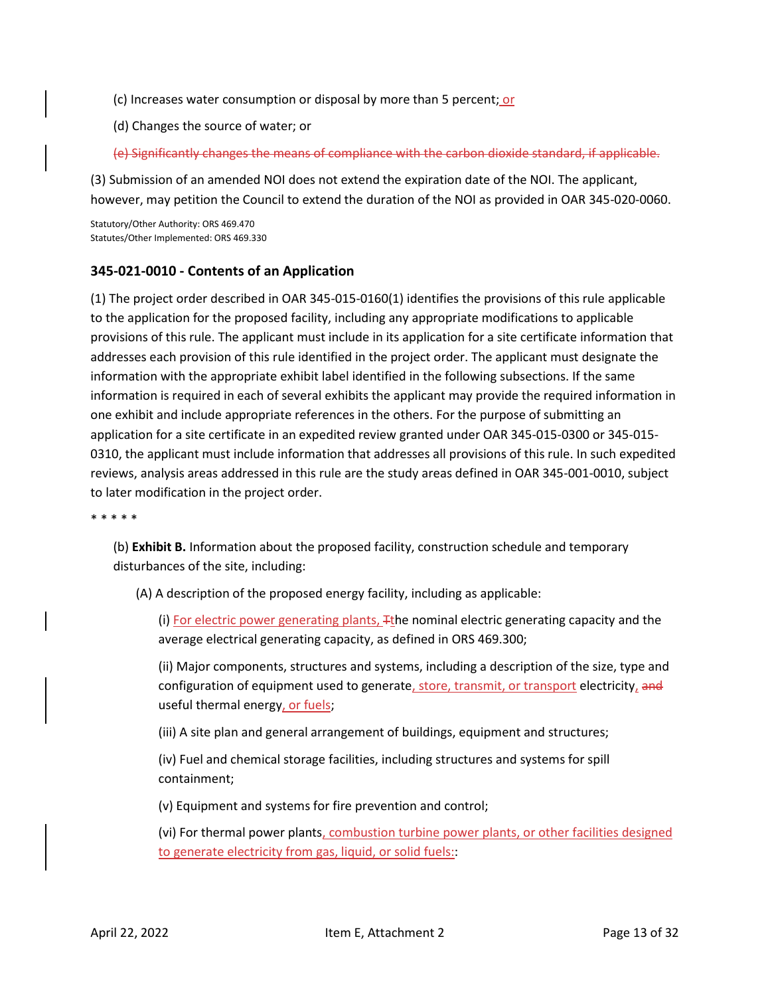- (c) Increases water consumption or disposal by more than 5 percent; or
- (d) Changes the source of water; or

(e) Significantly changes the means of compliance with the carbon dioxide standard, if applicable.

(3) Submission of an amended NOI does not extend the expiration date of the NOI. The applicant, however, may petition the Council to extend the duration of the NOI as provided in OAR 345-020-0060.

Statutory/Other Authority: ORS 469.470 Statutes/Other Implemented: ORS 469.330

# <span id="page-12-0"></span>**345-021-0010 - Contents of an Application**

(1) The project order described in OAR 345-015-0160(1) identifies the provisions of this rule applicable to the application for the proposed facility, including any appropriate modifications to applicable provisions of this rule. The applicant must include in its application for a site certificate information that addresses each provision of this rule identified in the project order. The applicant must designate the information with the appropriate exhibit label identified in the following subsections. If the same information is required in each of several exhibits the applicant may provide the required information in one exhibit and include appropriate references in the others. For the purpose of submitting an application for a site certificate in an expedited review granted under OAR 345-015-0300 or 345-015- 0310, the applicant must include information that addresses all provisions of this rule. In such expedited reviews, analysis areas addressed in this rule are the study areas defined in OAR 345-001-0010, subject to later modification in the project order.

\* \* \* \* \*

(b) **Exhibit B.** Information about the proposed facility, construction schedule and temporary disturbances of the site, including:

(A) A description of the proposed energy facility, including as applicable:

(i) For electric power generating plants, Tthe nominal electric generating capacity and the average electrical generating capacity, as defined in ORS 469.300;

(ii) Major components, structures and systems, including a description of the size, type and configuration of equipment used to generate, store, transmit, or transport electricity, and useful thermal energy, or fuels;

(iii) A site plan and general arrangement of buildings, equipment and structures;

(iv) Fuel and chemical storage facilities, including structures and systems for spill containment;

(v) Equipment and systems for fire prevention and control;

(vi) For thermal power plants, combustion turbine power plants, or other facilities designed to generate electricity from gas, liquid, or solid fuels::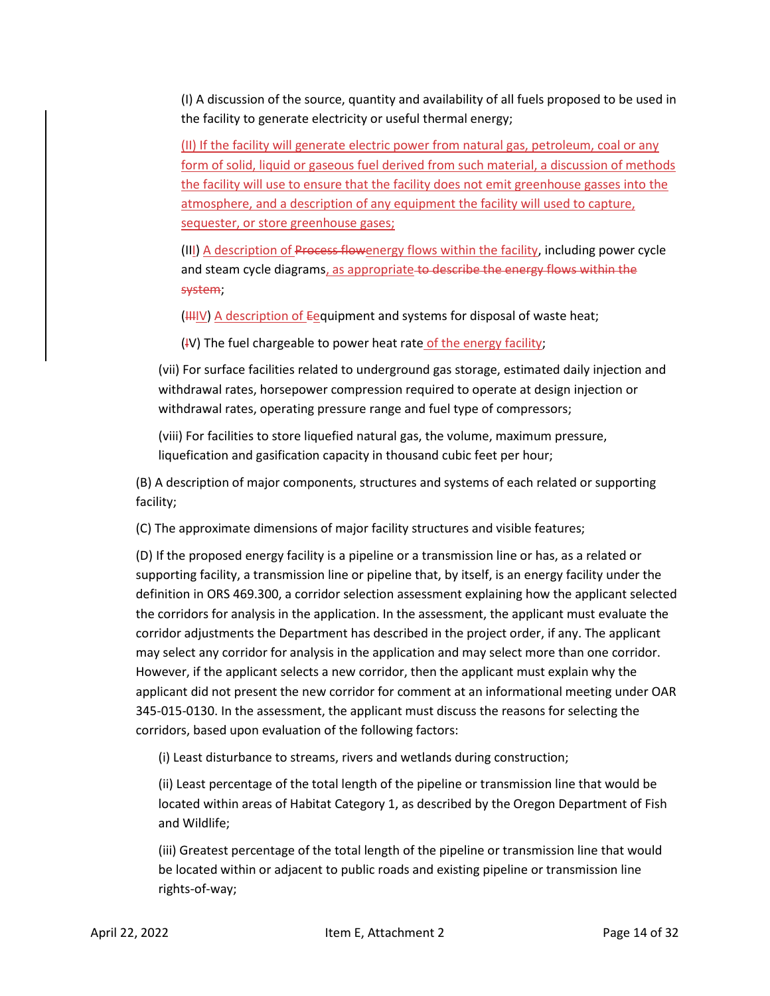(I) A discussion of the source, quantity and availability of all fuels proposed to be used in the facility to generate electricity or useful thermal energy;

(II) If the facility will generate electric power from natural gas, petroleum, coal or any form of solid, liquid or gaseous fuel derived from such material, a discussion of methods the facility will use to ensure that the facility does not emit greenhouse gasses into the atmosphere, and a description of any equipment the facility will used to capture, sequester, or store greenhouse gases;

(III) A description of Process flowenergy flows within the facility, including power cycle and steam cycle diagrams, as appropriate to describe the energy flows within the system;

 $(HHIV)$  A description of Eequipment and systems for disposal of waste heat;

 $(V)$  The fuel chargeable to power heat rate of the energy facility;

(vii) For surface facilities related to underground gas storage, estimated daily injection and withdrawal rates, horsepower compression required to operate at design injection or withdrawal rates, operating pressure range and fuel type of compressors;

(viii) For facilities to store liquefied natural gas, the volume, maximum pressure, liquefication and gasification capacity in thousand cubic feet per hour;

(B) A description of major components, structures and systems of each related or supporting facility;

(C) The approximate dimensions of major facility structures and visible features;

(D) If the proposed energy facility is a pipeline or a transmission line or has, as a related or supporting facility, a transmission line or pipeline that, by itself, is an energy facility under the definition in ORS 469.300, a corridor selection assessment explaining how the applicant selected the corridors for analysis in the application. In the assessment, the applicant must evaluate the corridor adjustments the Department has described in the project order, if any. The applicant may select any corridor for analysis in the application and may select more than one corridor. However, if the applicant selects a new corridor, then the applicant must explain why the applicant did not present the new corridor for comment at an informational meeting under OAR 345-015-0130. In the assessment, the applicant must discuss the reasons for selecting the corridors, based upon evaluation of the following factors:

(i) Least disturbance to streams, rivers and wetlands during construction;

(ii) Least percentage of the total length of the pipeline or transmission line that would be located within areas of Habitat Category 1, as described by the Oregon Department of Fish and Wildlife;

(iii) Greatest percentage of the total length of the pipeline or transmission line that would be located within or adjacent to public roads and existing pipeline or transmission line rights-of-way;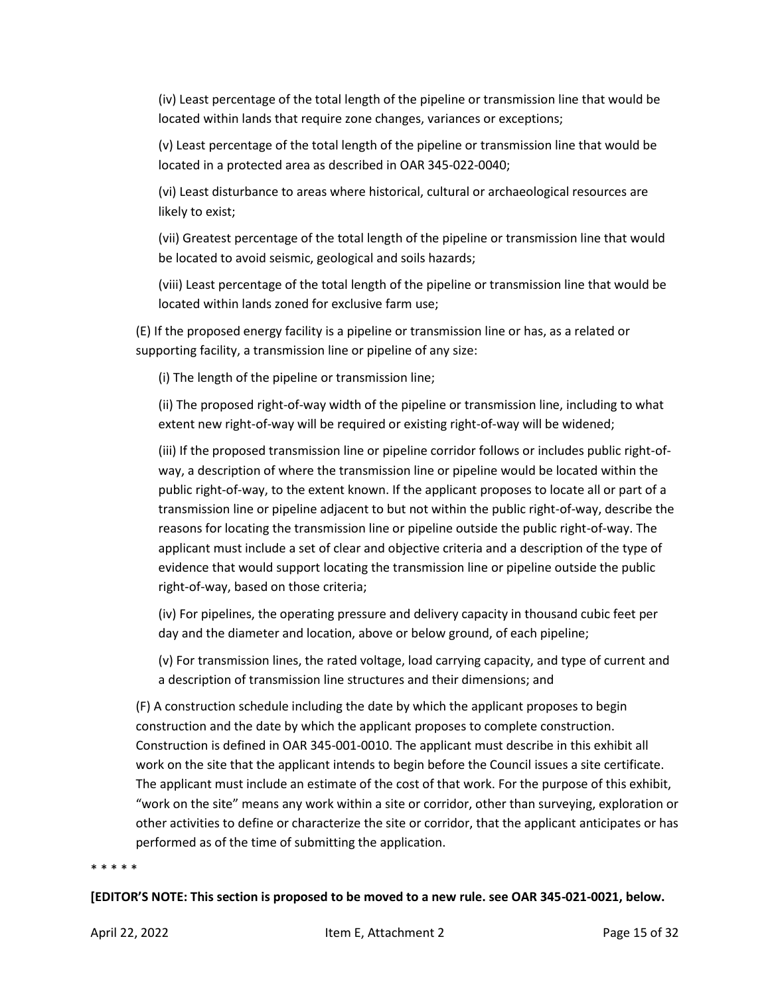(iv) Least percentage of the total length of the pipeline or transmission line that would be located within lands that require zone changes, variances or exceptions;

(v) Least percentage of the total length of the pipeline or transmission line that would be located in a protected area as described in OAR 345-022-0040;

(vi) Least disturbance to areas where historical, cultural or archaeological resources are likely to exist;

(vii) Greatest percentage of the total length of the pipeline or transmission line that would be located to avoid seismic, geological and soils hazards;

(viii) Least percentage of the total length of the pipeline or transmission line that would be located within lands zoned for exclusive farm use;

(E) If the proposed energy facility is a pipeline or transmission line or has, as a related or supporting facility, a transmission line or pipeline of any size:

(i) The length of the pipeline or transmission line;

(ii) The proposed right-of-way width of the pipeline or transmission line, including to what extent new right-of-way will be required or existing right-of-way will be widened;

(iii) If the proposed transmission line or pipeline corridor follows or includes public right-ofway, a description of where the transmission line or pipeline would be located within the public right-of-way, to the extent known. If the applicant proposes to locate all or part of a transmission line or pipeline adjacent to but not within the public right-of-way, describe the reasons for locating the transmission line or pipeline outside the public right-of-way. The applicant must include a set of clear and objective criteria and a description of the type of evidence that would support locating the transmission line or pipeline outside the public right-of-way, based on those criteria;

(iv) For pipelines, the operating pressure and delivery capacity in thousand cubic feet per day and the diameter and location, above or below ground, of each pipeline;

(v) For transmission lines, the rated voltage, load carrying capacity, and type of current and a description of transmission line structures and their dimensions; and

(F) A construction schedule including the date by which the applicant proposes to begin construction and the date by which the applicant proposes to complete construction. Construction is defined in OAR 345-001-0010. The applicant must describe in this exhibit all work on the site that the applicant intends to begin before the Council issues a site certificate. The applicant must include an estimate of the cost of that work. For the purpose of this exhibit, "work on the site" means any work within a site or corridor, other than surveying, exploration or other activities to define or characterize the site or corridor, that the applicant anticipates or has performed as of the time of submitting the application.

#### \* \* \* \* \*

**[EDITOR'S NOTE: This section is proposed to be moved to a new rule. see OAR 345-021-0021, below.**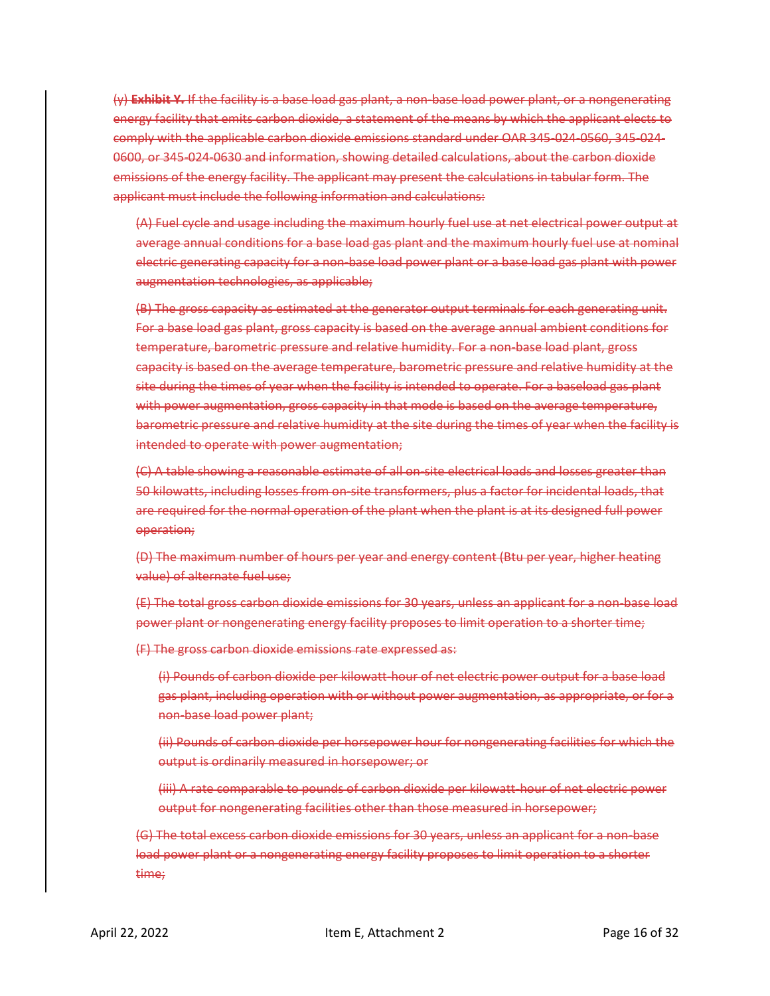(y) **Exhibit Y.** If the facility is a base load gas plant, a non-base load power plant, or a nongenerating energy facility that emits carbon dioxide, a statement of the means by which the applicant elects to comply with the applicable carbon dioxide emissions standard under OAR 345-024-0560, 345-024- 0600, or 345-024-0630 and information, showing detailed calculations, about the carbon dioxide emissions of the energy facility. The applicant may present the calculations in tabular form. The applicant must include the following information and calculations:

(A) Fuel cycle and usage including the maximum hourly fuel use at net electrical power output at average annual conditions for a base load gas plant and the maximum hourly fuel use at nominal electric generating capacity for a non-base load power plant or a base load gas plant with power augmentation technologies, as applicable;

(B) The gross capacity as estimated at the generator output terminals for each generating unit. For a base load gas plant, gross capacity is based on the average annual ambient conditions for temperature, barometric pressure and relative humidity. For a non-base load plant, gross capacity is based on the average temperature, barometric pressure and relative humidity at the site during the times of year when the facility is intended to operate. For a baseload gas plant with power augmentation, gross capacity in that mode is based on the average temperature, barometric pressure and relative humidity at the site during the times of year when the facility is intended to operate with power augmentation;

(C) A table showing a reasonable estimate of all on-site electrical loads and losses greater than 50 kilowatts, including losses from on-site transformers, plus a factor for incidental loads, that are required for the normal operation of the plant when the plant is at its designed full power operation;

(D) The maximum number of hours per year and energy content (Btu per year, higher heating value) of alternate fuel use;

(E) The total gross carbon dioxide emissions for 30 years, unless an applicant for a non-base load power plant or nongenerating energy facility proposes to limit operation to a shorter time;

(F) The gross carbon dioxide emissions rate expressed as:

(i) Pounds of carbon dioxide per kilowatt-hour of net electric power output for a base load gas plant, including operation with or without power augmentation, as appropriate, or for a non-base load power plant;

(ii) Pounds of carbon dioxide per horsepower hour for nongenerating facilities for which the output is ordinarily measured in horsepower; or

(iii) A rate comparable to pounds of carbon dioxide per kilowatt-hour of net electric power output for nongenerating facilities other than those measured in horsepower;

(G) The total excess carbon dioxide emissions for 30 years, unless an applicant for a non-base load power plant or a nongenerating energy facility proposes to limit operation to a shorter time;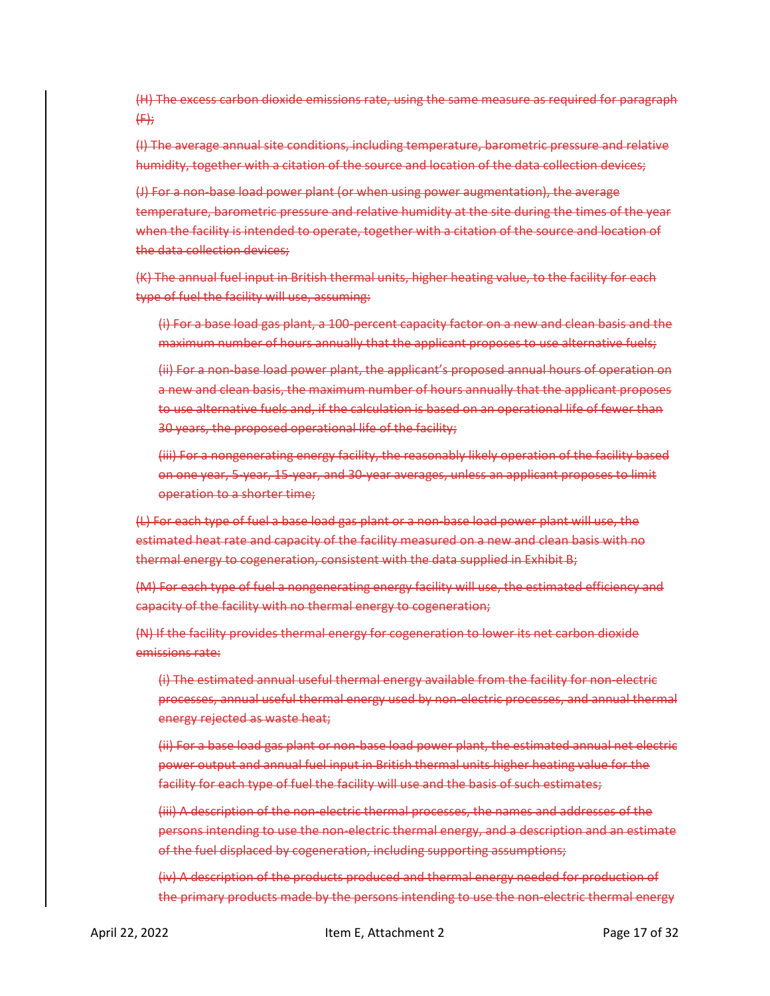(H) The excess carbon dioxide emissions rate, using the same measure as required for paragraph  $(f)$ 

(I) The average annual site conditions, including temperature, barometric pressure and relative humidity, together with a citation of the source and location of the data collection devices;

(J) For a non-base load power plant (or when using power augmentation), the average temperature, barometric pressure and relative humidity at the site during the times of the year when the facility is intended to operate, together with a citation of the source and location of the data collection devices;

(K) The annual fuel input in British thermal units, higher heating value, to the facility for each type of fuel the facility will use, assuming:

(i) For a base load gas plant, a 100-percent capacity factor on a new and clean basis and the maximum number of hours annually that the applicant proposes to use alternative fuels;

(ii) For a non-base load power plant, the applicant's proposed annual hours of operation on a new and clean basis, the maximum number of hours annually that the applicant proposes to use alternative fuels and, if the calculation is based on an operational life of fewer than 30 years, the proposed operational life of the facility;

(iii) For a nongenerating energy facility, the reasonably likely operation of the facility based on one year, 5-year, 15-year, and 30-year averages, unless an applicant proposes to limit operation to a shorter time;

(L) For each type of fuel a base load gas plant or a non-base load power plant will use, the estimated heat rate and capacity of the facility measured on a new and clean basis with no thermal energy to cogeneration, consistent with the data supplied in Exhibit B;

(M) For each type of fuel a nongenerating energy facility will use, the estimated efficiency and capacity of the facility with no thermal energy to cogeneration;

(N) If the facility provides thermal energy for cogeneration to lower its net carbon dioxide emissions rate:

(i) The estimated annual useful thermal energy available from the facility for non-electric processes, annual useful thermal energy used by non-electric processes, and annual thermal energy rejected as waste heat;

(ii) For a base load gas plant or non-base load power plant, the estimated annual net electric power output and annual fuel input in British thermal units higher heating value for the facility for each type of fuel the facility will use and the basis of such estimates;

(iii) A description of the non-electric thermal processes, the names and addresses of the persons intending to use the non-electric thermal energy, and a description and an estimate of the fuel displaced by cogeneration, including supporting assumptions;

(iv) A description of the products produced and thermal energy needed for production of the primary products made by the persons intending to use the non-electric thermal energy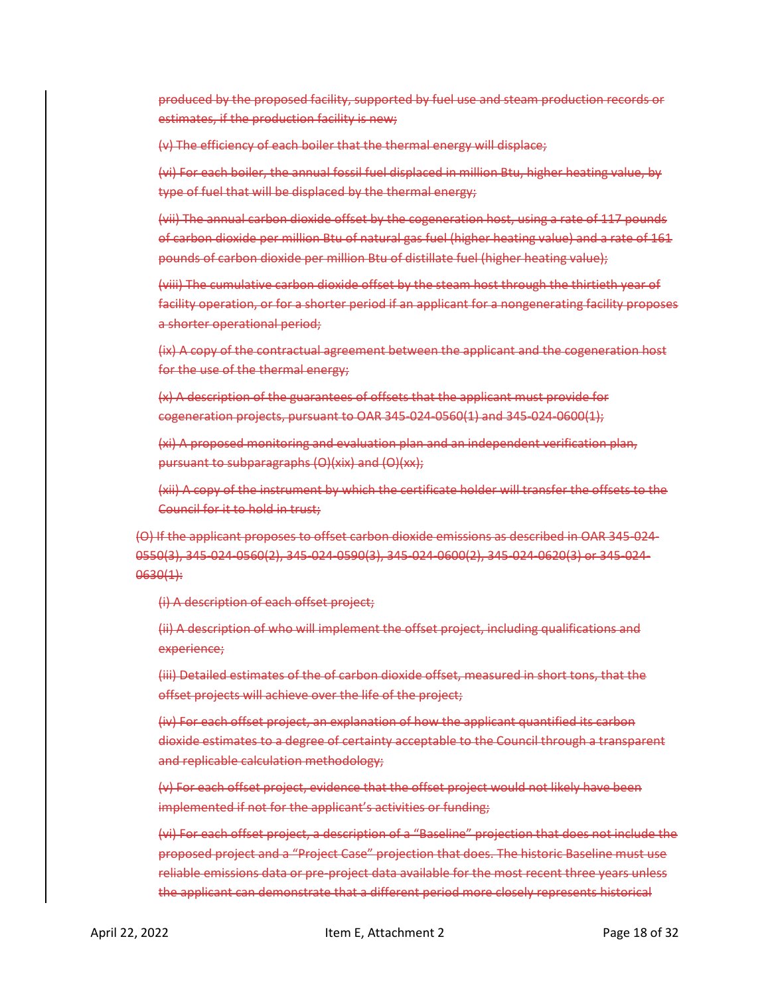produced by the proposed facility, supported by fuel use and steam production records or estimates, if the production facility is new;

(v) The efficiency of each boiler that the thermal energy will displace;

(vi) For each boiler, the annual fossil fuel displaced in million Btu, higher heating value, by type of fuel that will be displaced by the thermal energy;

(vii) The annual carbon dioxide offset by the cogeneration host, using a rate of 117 pounds of carbon dioxide per million Btu of natural gas fuel (higher heating value) and a rate of 161 pounds of carbon dioxide per million Btu of distillate fuel (higher heating value);

(viii) The cumulative carbon dioxide offset by the steam host through the thirtieth year of facility operation, or for a shorter period if an applicant for a nongenerating facility proposes a shorter operational period;

(ix) A copy of the contractual agreement between the applicant and the cogeneration host for the use of the thermal energy;

(x) A description of the guarantees of offsets that the applicant must provide for cogeneration projects, pursuant to OAR 345-024-0560(1) and 345-024-0600(1);

(xi) A proposed monitoring and evaluation plan and an independent verification plan, pursuant to subparagraphs (O)(xix) and (O)(xx);

(xii) A copy of the instrument by which the certificate holder will transfer the offsets to the Council for it to hold in trust;

(O) If the applicant proposes to offset carbon dioxide emissions as described in OAR 345-024- 0550(3), 345-024-0560(2), 345-024-0590(3), 345-024-0600(2), 345-024-0620(3) or 345-024- 0630(1):

(i) A description of each offset project;

(ii) A description of who will implement the offset project, including qualifications and experience;

(iii) Detailed estimates of the of carbon dioxide offset, measured in short tons, that the offset projects will achieve over the life of the project;

(iv) For each offset project, an explanation of how the applicant quantified its carbon dioxide estimates to a degree of certainty acceptable to the Council through a transparent and replicable calculation methodology;

(v) For each offset project, evidence that the offset project would not likely have been implemented if not for the applicant's activities or funding;

(vi) For each offset project, a description of a "Baseline" projection that does not include the proposed project and a "Project Case" projection that does. The historic Baseline must use reliable emissions data or pre-project data available for the most recent three years unless the applicant can demonstrate that a different period more closely represents historical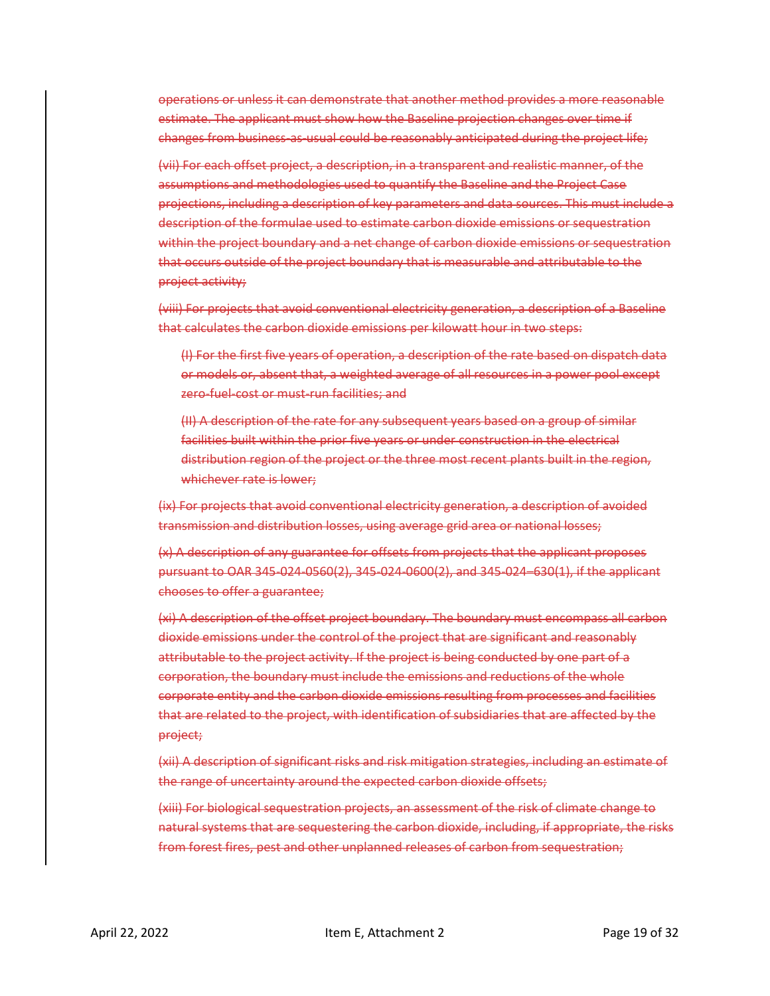operations or unless it can demonstrate that another method provides a more reasonable estimate. The applicant must show how the Baseline projection changes over time if changes from business-as-usual could be reasonably anticipated during the project life;

(vii) For each offset project, a description, in a transparent and realistic manner, of the assumptions and methodologies used to quantify the Baseline and the Project Case projections, including a description of key parameters and data sources. This must include a description of the formulae used to estimate carbon dioxide emissions or sequestration within the project boundary and a net change of carbon dioxide emissions or sequestration that occurs outside of the project boundary that is measurable and attributable to the project activity;

(viii) For projects that avoid conventional electricity generation, a description of a Baseline that calculates the carbon dioxide emissions per kilowatt hour in two steps:

(I) For the first five years of operation, a description of the rate based on dispatch data or models or, absent that, a weighted average of all resources in a power pool except zero-fuel-cost or must-run facilities; and

(II) A description of the rate for any subsequent years based on a group of similar facilities built within the prior five years or under construction in the electrical distribution region of the project or the three most recent plants built in the region, whichever rate is lower;

(ix) For projects that avoid conventional electricity generation, a description of avoided transmission and distribution losses, using average grid area or national losses;

(x) A description of any guarantee for offsets from projects that the applicant proposes pursuant to OAR 345-024-0560(2), 345-024-0600(2), and 345-024–630(1), if the applicant chooses to offer a guarantee;

(xi) A description of the offset project boundary. The boundary must encompass all carbon dioxide emissions under the control of the project that are significant and reasonably attributable to the project activity. If the project is being conducted by one part of a corporation, the boundary must include the emissions and reductions of the whole corporate entity and the carbon dioxide emissions resulting from processes and facilities that are related to the project, with identification of subsidiaries that are affected by the project;

(xii) A description of significant risks and risk mitigation strategies, including an estimate of the range of uncertainty around the expected carbon dioxide offsets;

(xiii) For biological sequestration projects, an assessment of the risk of climate change to natural systems that are sequestering the carbon dioxide, including, if appropriate, the risks from forest fires, pest and other unplanned releases of carbon from sequestration;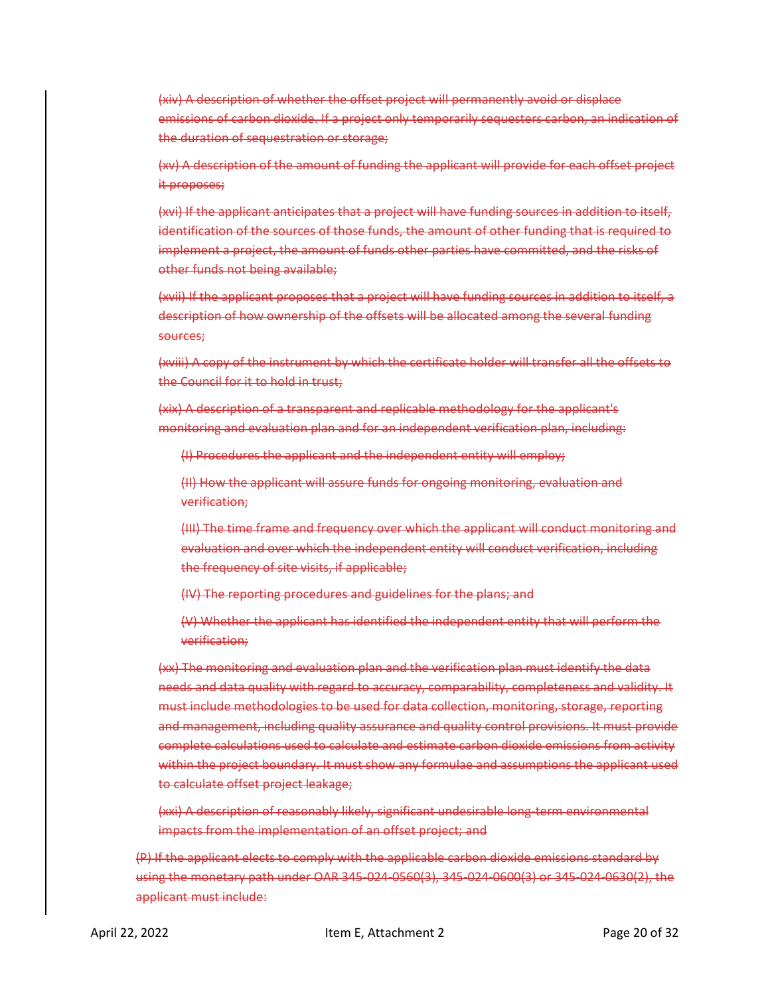(xiv) A description of whether the offset project will permanently avoid or displace emissions of carbon dioxide. If a project only temporarily sequesters carbon, an indication of the duration of sequestration or storage;

(xv) A description of the amount of funding the applicant will provide for each offset project it proposes;

(xvi) If the applicant anticipates that a project will have funding sources in addition to itself, identification of the sources of those funds, the amount of other funding that is required to implement a project, the amount of funds other parties have committed, and the risks of other funds not being available;

(xvii) If the applicant proposes that a project will have funding sources in addition to itself, a description of how ownership of the offsets will be allocated among the several funding sources;

(xviii) A copy of the instrument by which the certificate holder will transfer all the offsets to the Council for it to hold in trust;

(xix) A description of a transparent and replicable methodology for the applicant's monitoring and evaluation plan and for an independent verification plan, including:

(I) Procedures the applicant and the independent entity will employ;

(II) How the applicant will assure funds for ongoing monitoring, evaluation and verification;

(III) The time frame and frequency over which the applicant will conduct monitoring and evaluation and over which the independent entity will conduct verification, including the frequency of site visits, if applicable;

(IV) The reporting procedures and guidelines for the plans; and

(V) Whether the applicant has identified the independent entity that will perform the verification;

(xx) The monitoring and evaluation plan and the verification plan must identify the data needs and data quality with regard to accuracy, comparability, completeness and validity. It must include methodologies to be used for data collection, monitoring, storage, reporting and management, including quality assurance and quality control provisions. It must provide complete calculations used to calculate and estimate carbon dioxide emissions from activity within the project boundary. It must show any formulae and assumptions the applicant used to calculate offset project leakage;

(xxi) A description of reasonably likely, significant undesirable long-term environmental impacts from the implementation of an offset project; and

(P) If the applicant elects to comply with the applicable carbon dioxide emissions standard by using the monetary path under OAR 345-024-0560(3), 345-024-0600(3) or 345-024-0630(2), the applicant must include: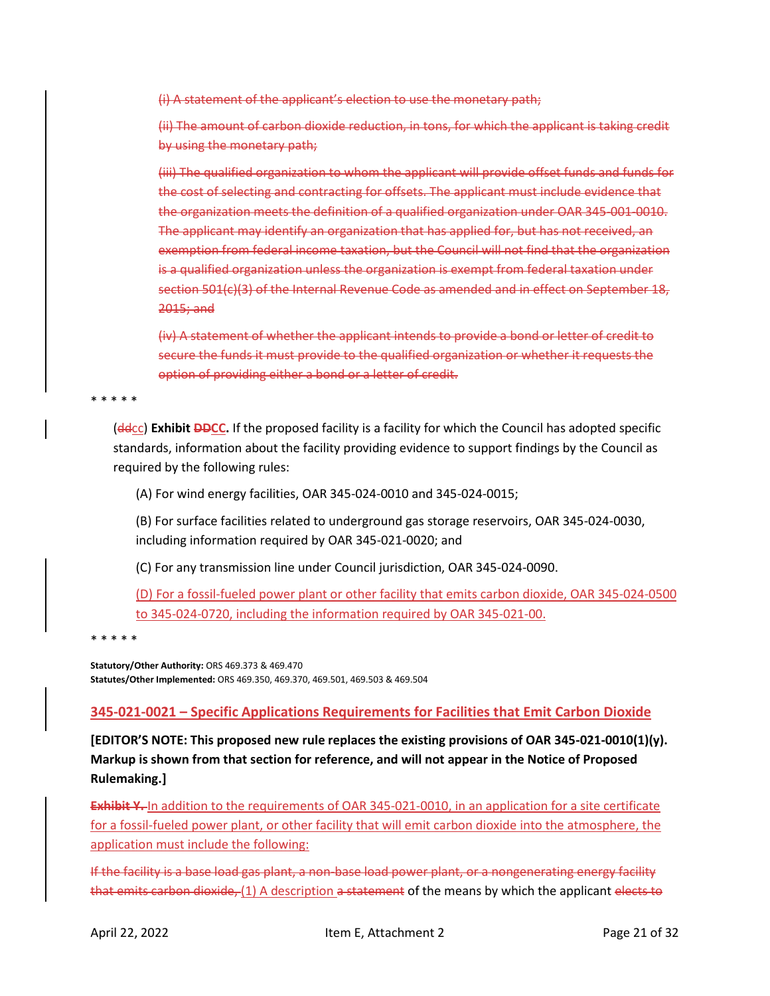(i) A statement of the applicant's election to use the monetary path;

(ii) The amount of carbon dioxide reduction, in tons, for which the applicant is taking credit by using the monetary path;

(iii) The qualified organization to whom the applicant will provide offset funds and funds for the cost of selecting and contracting for offsets. The applicant must include evidence that the organization meets the definition of a qualified organization under OAR 345-001-0010. The applicant may identify an organization that has applied for, but has not received, an exemption from federal income taxation, but the Council will not find that the organization is a qualified organization unless the organization is exempt from federal taxation under section 501(c)(3) of the Internal Revenue Code as amended and in effect on September 18, 2015; and

(iv) A statement of whether the applicant intends to provide a bond or letter of credit to secure the funds it must provide to the qualified organization or whether it requests the option of providing either a bond or a letter of credit.

\* \* \* \* \*

(ddcc) **Exhibit DDCC.** If the proposed facility is a facility for which the Council has adopted specific standards, information about the facility providing evidence to support findings by the Council as required by the following rules:

(A) For wind energy facilities, OAR 345-024-0010 and 345-024-0015;

(B) For surface facilities related to underground gas storage reservoirs, OAR 345-024-0030, including information required by OAR 345-021-0020; and

(C) For any transmission line under Council jurisdiction, OAR 345-024-0090.

(D) For a fossil-fueled power plant or other facility that emits carbon dioxide, OAR 345-024-0500 to 345-024-0720, including the information required by OAR 345-021-00.

\* \* \* \* \*

**Statutory/Other Authority:** ORS 469.373 & 469.470 **Statutes/Other Implemented:** ORS 469.350, 469.370, 469.501, 469.503 & 469.504

# <span id="page-20-0"></span>**345-021-0021 – Specific Applications Requirements for Facilities that Emit Carbon Dioxide**

**[EDITOR'S NOTE: This proposed new rule replaces the existing provisions of OAR 345-021-0010(1)(y). Markup is shown from that section for reference, and will not appear in the Notice of Proposed Rulemaking.]**

**Exhibit Y.** In addition to the requirements of OAR 345-021-0010, in an application for a site certificate for a fossil-fueled power plant, or other facility that will emit carbon dioxide into the atmosphere, the application must include the following:

If the facility is a base load gas plant, a non-base load power plant, or a nongenerating energy facility that emits carbon dioxide, (1) A description a statement of the means by which the applicant elects to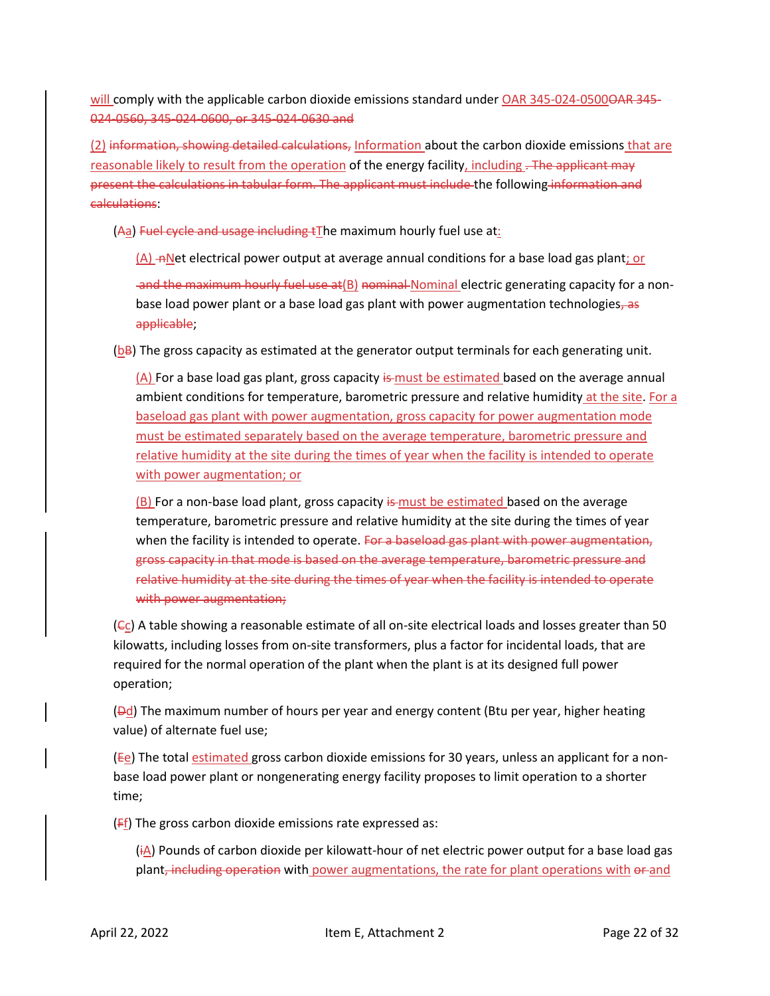will comply with the applicable carbon dioxide emissions standard under OAR 345-024-0500<del>OAR 345-</del> 024-0560, 345-024-0600, or 345-024-0630 and

(2) information, showing detailed calculations, Information about the carbon dioxide emissions that are reasonable likely to result from the operation of the energy facility, including . The applicant may present the calculations in tabular form. The applicant must include the following information and calculations:

(Aa) Fuel cycle and usage including tThe maximum hourly fuel use at:

 $(A)$  -nNet electrical power output at average annual conditions for a base load gas plant; or

and the maximum hourly fuel use at  $(B)$  nominal Nominal electric generating capacity for a nonbase load power plant or a base load gas plant with power augmentation technologies, as applicable;

 $(bB)$  The gross capacity as estimated at the generator output terminals for each generating unit.

 $(A)$  For a base load gas plant, gross capacity is must be estimated based on the average annual ambient conditions for temperature, barometric pressure and relative humidity at the site. For a baseload gas plant with power augmentation, gross capacity for power augmentation mode must be estimated separately based on the average temperature, barometric pressure and relative humidity at the site during the times of year when the facility is intended to operate with power augmentation; or

 $(B)$  For a non-base load plant, gross capacity is must be estimated based on the average temperature, barometric pressure and relative humidity at the site during the times of year when the facility is intended to operate. For a baseload gas plant with power augmentation, gross capacity in that mode is based on the average temperature, barometric pressure and relative humidity at the site during the times of year when the facility is intended to operate with power augmentation;

 $(\epsilon_{\text{C}})$  A table showing a reasonable estimate of all on-site electrical loads and losses greater than 50 kilowatts, including losses from on-site transformers, plus a factor for incidental loads, that are required for the normal operation of the plant when the plant is at its designed full power operation;

 $(Dd)$  The maximum number of hours per year and energy content (Btu per year, higher heating value) of alternate fuel use;

(Ee) The total estimated gross carbon dioxide emissions for 30 years, unless an applicant for a nonbase load power plant or nongenerating energy facility proposes to limit operation to a shorter time;

 $(F_1)$  The gross carbon dioxide emissions rate expressed as:

 $(i_A)$  Pounds of carbon dioxide per kilowatt-hour of net electric power output for a base load gas plant, including operation with power augmentations, the rate for plant operations with or and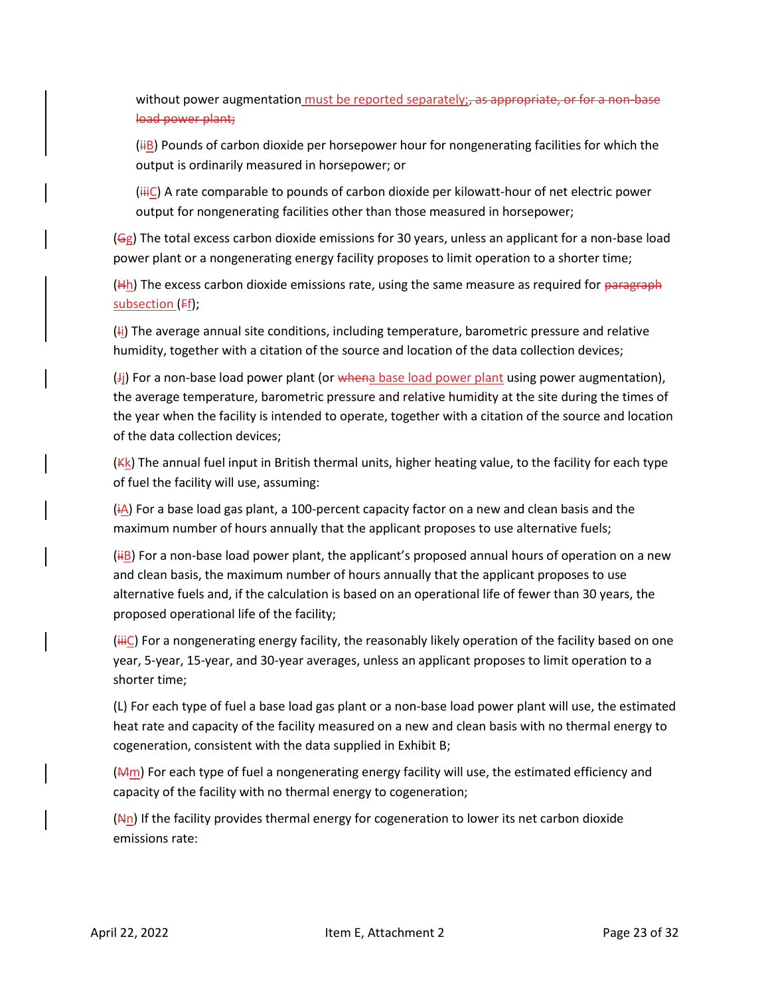without power augmentation must be reported separately; as appropriate, or for a non-base load power plant;

 $(iH_B)$  Pounds of carbon dioxide per horsepower hour for nongenerating facilities for which the output is ordinarily measured in horsepower; or

 $(iiiC)$  A rate comparable to pounds of carbon dioxide per kilowatt-hour of net electric power output for nongenerating facilities other than those measured in horsepower;

(Gg) The total excess carbon dioxide emissions for 30 years, unless an applicant for a non-base load power plant or a nongenerating energy facility proposes to limit operation to a shorter time;

 $(Hh)$  The excess carbon dioxide emissions rate, using the same measure as required for paragraph subsection (Ff);

 $(H<sub>i</sub>)$  The average annual site conditions, including temperature, barometric pressure and relative humidity, together with a citation of the source and location of the data collection devices;

 $J_j$  For a non-base load power plant (or whena base load power plant using power augmentation), the average temperature, barometric pressure and relative humidity at the site during the times of the year when the facility is intended to operate, together with a citation of the source and location of the data collection devices;

 $(Kk)$  The annual fuel input in British thermal units, higher heating value, to the facility for each type of fuel the facility will use, assuming:

 $(iA)$  For a base load gas plant, a 100-percent capacity factor on a new and clean basis and the maximum number of hours annually that the applicant proposes to use alternative fuels;

 $(H<sub>1</sub>B)$  For a non-base load power plant, the applicant's proposed annual hours of operation on a new and clean basis, the maximum number of hours annually that the applicant proposes to use alternative fuels and, if the calculation is based on an operational life of fewer than 30 years, the proposed operational life of the facility;

 $(iiiC)$  For a nongenerating energy facility, the reasonably likely operation of the facility based on one year, 5-year, 15-year, and 30-year averages, unless an applicant proposes to limit operation to a shorter time;

(L) For each type of fuel a base load gas plant or a non-base load power plant will use, the estimated heat rate and capacity of the facility measured on a new and clean basis with no thermal energy to cogeneration, consistent with the data supplied in Exhibit B;

 $(M<sub>m</sub>)$  For each type of fuel a nongenerating energy facility will use, the estimated efficiency and capacity of the facility with no thermal energy to cogeneration;

 $(Nn)$  If the facility provides thermal energy for cogeneration to lower its net carbon dioxide emissions rate: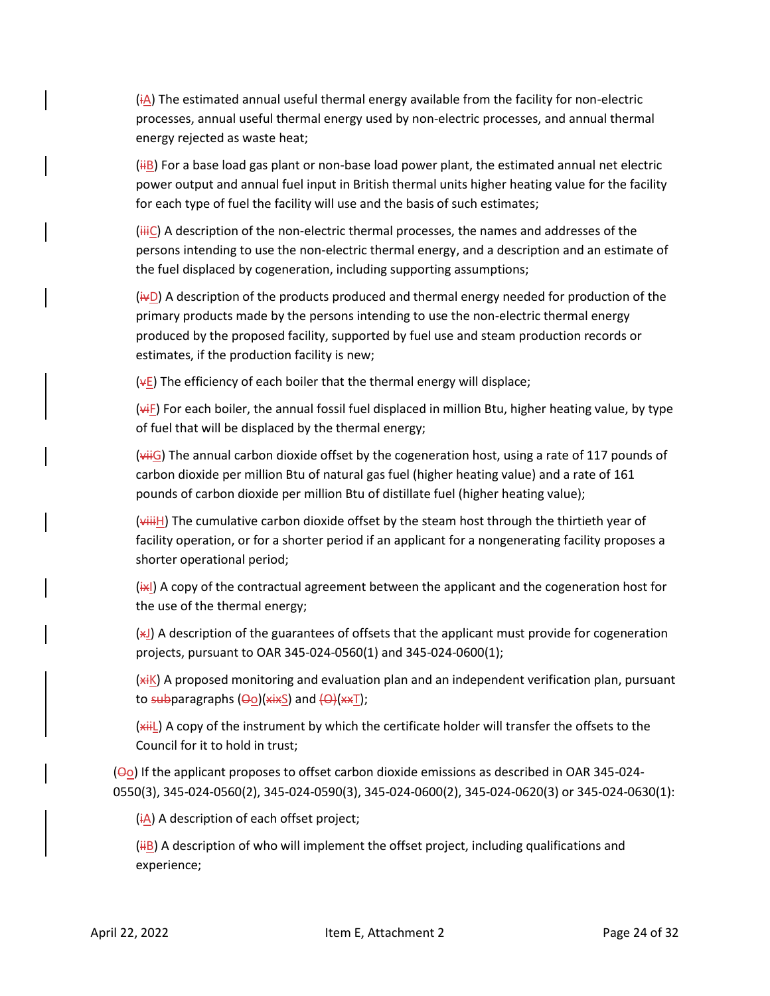$(i)$  The estimated annual useful thermal energy available from the facility for non-electric processes, annual useful thermal energy used by non-electric processes, and annual thermal energy rejected as waste heat;

 $(H<sub>B</sub>)$  For a base load gas plant or non-base load power plant, the estimated annual net electric power output and annual fuel input in British thermal units higher heating value for the facility for each type of fuel the facility will use and the basis of such estimates;

 $(iiiC)$  A description of the non-electric thermal processes, the names and addresses of the persons intending to use the non-electric thermal energy, and a description and an estimate of the fuel displaced by cogeneration, including supporting assumptions;

 $(i \nabla D)$  A description of the products produced and thermal energy needed for production of the primary products made by the persons intending to use the non-electric thermal energy produced by the proposed facility, supported by fuel use and steam production records or estimates, if the production facility is new;

 $(\Psi E)$  The efficiency of each boiler that the thermal energy will displace;

 $(v + F)$  For each boiler, the annual fossil fuel displaced in million Btu, higher heating value, by type of fuel that will be displaced by the thermal energy;

 $(viiG)$  The annual carbon dioxide offset by the cogeneration host, using a rate of 117 pounds of carbon dioxide per million Btu of natural gas fuel (higher heating value) and a rate of 161 pounds of carbon dioxide per million Btu of distillate fuel (higher heating value);

 $(viiiiH)$  The cumulative carbon dioxide offset by the steam host through the thirtieth year of facility operation, or for a shorter period if an applicant for a nongenerating facility proposes a shorter operational period;

 $\overline{H}$ ) A copy of the contractual agreement between the applicant and the cogeneration host for the use of the thermal energy;

 $(x_1)$  A description of the guarantees of offsets that the applicant must provide for cogeneration projects, pursuant to OAR 345-024-0560(1) and 345-024-0600(1);

 $(x<sub>i</sub>K)$  A proposed monitoring and evaluation plan and an independent verification plan, pursuant to subparagraphs (Oo)(xixS) and (O)(xxT);

(xiiL) A copy of the instrument by which the certificate holder will transfer the offsets to the Council for it to hold in trust;

 $(\Theta_0)$  If the applicant proposes to offset carbon dioxide emissions as described in OAR 345-024-0550(3), 345-024-0560(2), 345-024-0590(3), 345-024-0600(2), 345-024-0620(3) or 345-024-0630(1):

 $(i)$  A description of each offset project;

 $(iIB)$  A description of who will implement the offset project, including qualifications and experience;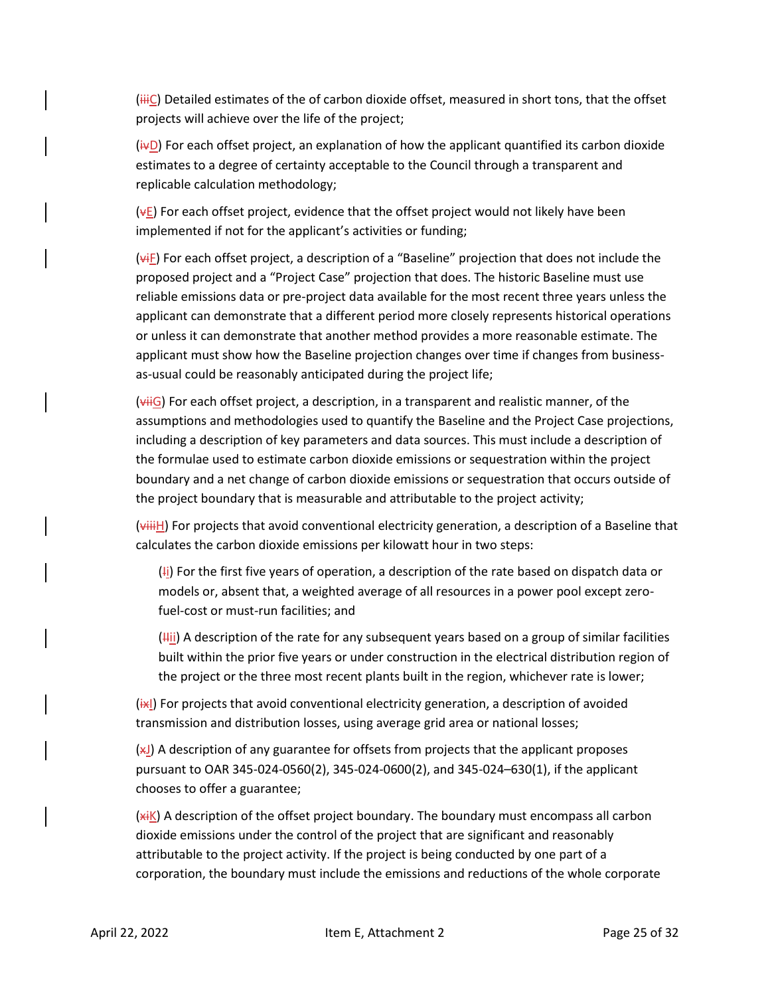$(iiiC)$  Detailed estimates of the of carbon dioxide offset, measured in short tons, that the offset projects will achieve over the life of the project;

 $(i \nabla D)$  For each offset project, an explanation of how the applicant quantified its carbon dioxide estimates to a degree of certainty acceptable to the Council through a transparent and replicable calculation methodology;

 $(vE)$  For each offset project, evidence that the offset project would not likely have been implemented if not for the applicant's activities or funding;

 $(v^{\text{HF}})$  For each offset project, a description of a "Baseline" projection that does not include the proposed project and a "Project Case" projection that does. The historic Baseline must use reliable emissions data or pre-project data available for the most recent three years unless the applicant can demonstrate that a different period more closely represents historical operations or unless it can demonstrate that another method provides a more reasonable estimate. The applicant must show how the Baseline projection changes over time if changes from businessas-usual could be reasonably anticipated during the project life;

 $(viiG)$  For each offset project, a description, in a transparent and realistic manner, of the assumptions and methodologies used to quantify the Baseline and the Project Case projections, including a description of key parameters and data sources. This must include a description of the formulae used to estimate carbon dioxide emissions or sequestration within the project boundary and a net change of carbon dioxide emissions or sequestration that occurs outside of the project boundary that is measurable and attributable to the project activity;

 $(\overline{\text{with}})$  For projects that avoid conventional electricity generation, a description of a Baseline that calculates the carbon dioxide emissions per kilowatt hour in two steps:

 $(H<sub>i</sub>)$  For the first five years of operation, a description of the rate based on dispatch data or models or, absent that, a weighted average of all resources in a power pool except zerofuel-cost or must-run facilities; and

 $(Hii)$  A description of the rate for any subsequent years based on a group of similar facilities built within the prior five years or under construction in the electrical distribution region of the project or the three most recent plants built in the region, whichever rate is lower;

 $(x)$  For projects that avoid conventional electricity generation, a description of avoided transmission and distribution losses, using average grid area or national losses;

 $(x)$ ) A description of any guarantee for offsets from projects that the applicant proposes pursuant to OAR 345-024-0560(2), 345-024-0600(2), and 345-024–630(1), if the applicant chooses to offer a guarantee;

 $(x_iK)$  A description of the offset project boundary. The boundary must encompass all carbon dioxide emissions under the control of the project that are significant and reasonably attributable to the project activity. If the project is being conducted by one part of a corporation, the boundary must include the emissions and reductions of the whole corporate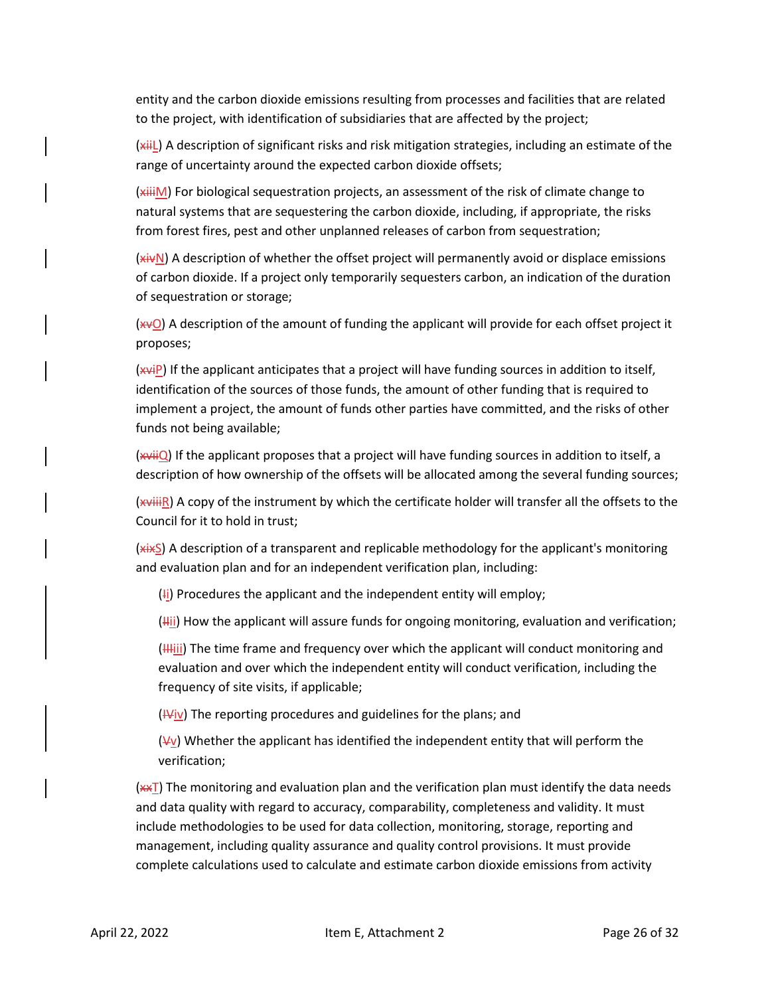entity and the carbon dioxide emissions resulting from processes and facilities that are related to the project, with identification of subsidiaries that are affected by the project;

(xiiL) A description of significant risks and risk mitigation strategies, including an estimate of the range of uncertainty around the expected carbon dioxide offsets;

(xiiiM) For biological sequestration projects, an assessment of the risk of climate change to natural systems that are sequestering the carbon dioxide, including, if appropriate, the risks from forest fires, pest and other unplanned releases of carbon from sequestration;

(xivN) A description of whether the offset project will permanently avoid or displace emissions of carbon dioxide. If a project only temporarily sequesters carbon, an indication of the duration of sequestration or storage;

 $(x \vee Q)$  A description of the amount of funding the applicant will provide for each offset project it proposes;

(xviP) If the applicant anticipates that a project will have funding sources in addition to itself, identification of the sources of those funds, the amount of other funding that is required to implement a project, the amount of funds other parties have committed, and the risks of other funds not being available;

(xviiQ) If the applicant proposes that a project will have funding sources in addition to itself, a description of how ownership of the offsets will be allocated among the several funding sources;

 $(x^{\text{with}})$  A copy of the instrument by which the certificate holder will transfer all the offsets to the Council for it to hold in trust;

 $(x, x)$  A description of a transparent and replicable methodology for the applicant's monitoring and evaluation plan and for an independent verification plan, including:

 $(H)$  Procedures the applicant and the independent entity will employ;

 $(Hii)$  How the applicant will assure funds for ongoing monitoring, evaluation and verification;

 $(H<sub>III</sub>)$  The time frame and frequency over which the applicant will conduct monitoring and evaluation and over which the independent entity will conduct verification, including the frequency of site visits, if applicable;

 $(Wiv)$  The reporting procedures and guidelines for the plans; and

 $(V)$  Whether the applicant has identified the independent entity that will perform the verification;

 $(x \in T)$  The monitoring and evaluation plan and the verification plan must identify the data needs and data quality with regard to accuracy, comparability, completeness and validity. It must include methodologies to be used for data collection, monitoring, storage, reporting and management, including quality assurance and quality control provisions. It must provide complete calculations used to calculate and estimate carbon dioxide emissions from activity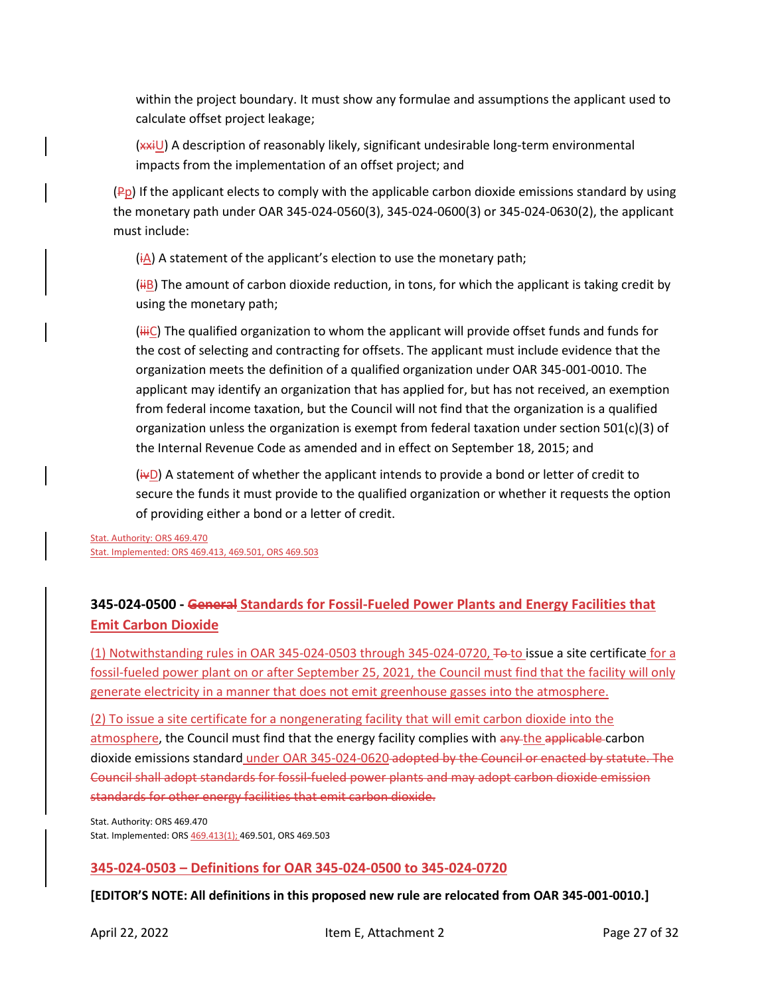within the project boundary. It must show any formulae and assumptions the applicant used to calculate offset project leakage;

(xxiU) A description of reasonably likely, significant undesirable long-term environmental impacts from the implementation of an offset project; and

 $(P<sub>p</sub>)$  If the applicant elects to comply with the applicable carbon dioxide emissions standard by using the monetary path under OAR 345-024-0560(3), 345-024-0600(3) or 345-024-0630(2), the applicant must include:

 $(i)$  A statement of the applicant's election to use the monetary path;

 $(iIB)$  The amount of carbon dioxide reduction, in tons, for which the applicant is taking credit by using the monetary path;

 $(iii)$  The qualified organization to whom the applicant will provide offset funds and funds for the cost of selecting and contracting for offsets. The applicant must include evidence that the organization meets the definition of a qualified organization under OAR 345-001-0010. The applicant may identify an organization that has applied for, but has not received, an exemption from federal income taxation, but the Council will not find that the organization is a qualified organization unless the organization is exempt from federal taxation under section 501(c)(3) of the Internal Revenue Code as amended and in effect on September 18, 2015; and

 $(i\text{-}D)$  A statement of whether the applicant intends to provide a bond or letter of credit to secure the funds it must provide to the qualified organization or whether it requests the option of providing either a bond or a letter of credit.

Stat. Authority: ORS 469.470 Stat. Implemented: ORS 469.413, 469.501, ORS 469.503

# <span id="page-26-0"></span>**345-024-0500 - General Standards for Fossil-Fueled Power Plants and Energy Facilities that Emit Carbon Dioxide**

(1) Notwithstanding rules in OAR 345-024-0503 through 345-024-0720, To to issue a site certificate for a fossil-fueled power plant on or after September 25, 2021, the Council must find that the facility will only generate electricity in a manner that does not emit greenhouse gasses into the atmosphere.

(2) To issue a site certificate for a nongenerating facility that will emit carbon dioxide into the atmosphere, the Council must find that the energy facility complies with any the applicable carbon dioxide emissions standard under OAR 345-024-0620 adopted by the Council or enacted by statute. The Council shall adopt standards for fossil-fueled power plants and may adopt carbon dioxide emission standards for other energy facilities that emit carbon dioxide.

Stat. Authority: ORS 469.470 Stat. Implemented: ORS 469.413(1); 469.501, ORS 469.503

## <span id="page-26-1"></span>**345-024-0503 – Definitions for OAR 345-024-0500 to 345-024-0720**

**[EDITOR'S NOTE: All definitions in this proposed new rule are relocated from OAR 345-001-0010.]**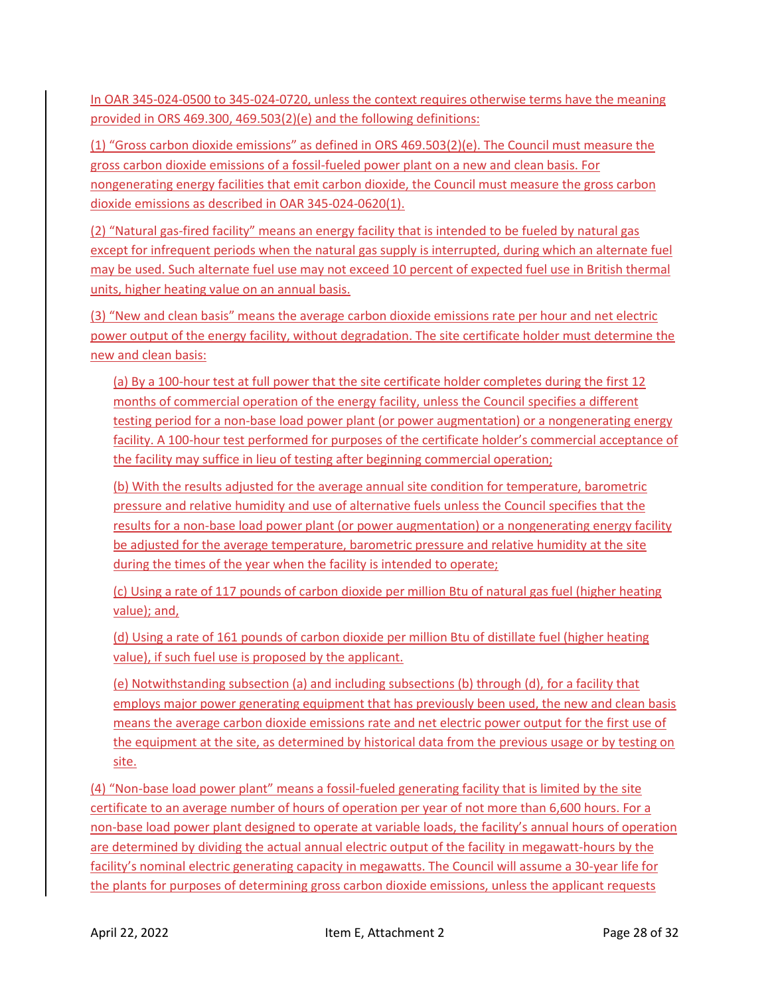In OAR 345-024-0500 to 345-024-0720, unless the context requires otherwise terms have the meaning provided in ORS 469.300, 469.503(2)(e) and the following definitions:

(1) "Gross carbon dioxide emissions" as defined in ORS 469.503(2)(e). The Council must measure the gross carbon dioxide emissions of a fossil-fueled power plant on a new and clean basis. For nongenerating energy facilities that emit carbon dioxide, the Council must measure the gross carbon dioxide emissions as described in OAR 345-024-0620(1).

(2) "Natural gas-fired facility" means an energy facility that is intended to be fueled by natural gas except for infrequent periods when the natural gas supply is interrupted, during which an alternate fuel may be used. Such alternate fuel use may not exceed 10 percent of expected fuel use in British thermal units, higher heating value on an annual basis.

(3) "New and clean basis" means the average carbon dioxide emissions rate per hour and net electric power output of the energy facility, without degradation. The site certificate holder must determine the new and clean basis:

(a) By a 100-hour test at full power that the site certificate holder completes during the first 12 months of commercial operation of the energy facility, unless the Council specifies a different testing period for a non-base load power plant (or power augmentation) or a nongenerating energy facility. A 100-hour test performed for purposes of the certificate holder's commercial acceptance of the facility may suffice in lieu of testing after beginning commercial operation;

(b) With the results adjusted for the average annual site condition for temperature, barometric pressure and relative humidity and use of alternative fuels unless the Council specifies that the results for a non-base load power plant (or power augmentation) or a nongenerating energy facility be adjusted for the average temperature, barometric pressure and relative humidity at the site during the times of the year when the facility is intended to operate;

(c) Using a rate of 117 pounds of carbon dioxide per million Btu of natural gas fuel (higher heating value); and,

(d) Using a rate of 161 pounds of carbon dioxide per million Btu of distillate fuel (higher heating value), if such fuel use is proposed by the applicant.

(e) Notwithstanding subsection (a) and including subsections (b) through (d), for a facility that employs major power generating equipment that has previously been used, the new and clean basis means the average carbon dioxide emissions rate and net electric power output for the first use of the equipment at the site, as determined by historical data from the previous usage or by testing on site.

(4) "Non-base load power plant" means a fossil-fueled generating facility that is limited by the site certificate to an average number of hours of operation per year of not more than 6,600 hours. For a non-base load power plant designed to operate at variable loads, the facility's annual hours of operation are determined by dividing the actual annual electric output of the facility in megawatt-hours by the facility's nominal electric generating capacity in megawatts. The Council will assume a 30-year life for the plants for purposes of determining gross carbon dioxide emissions, unless the applicant requests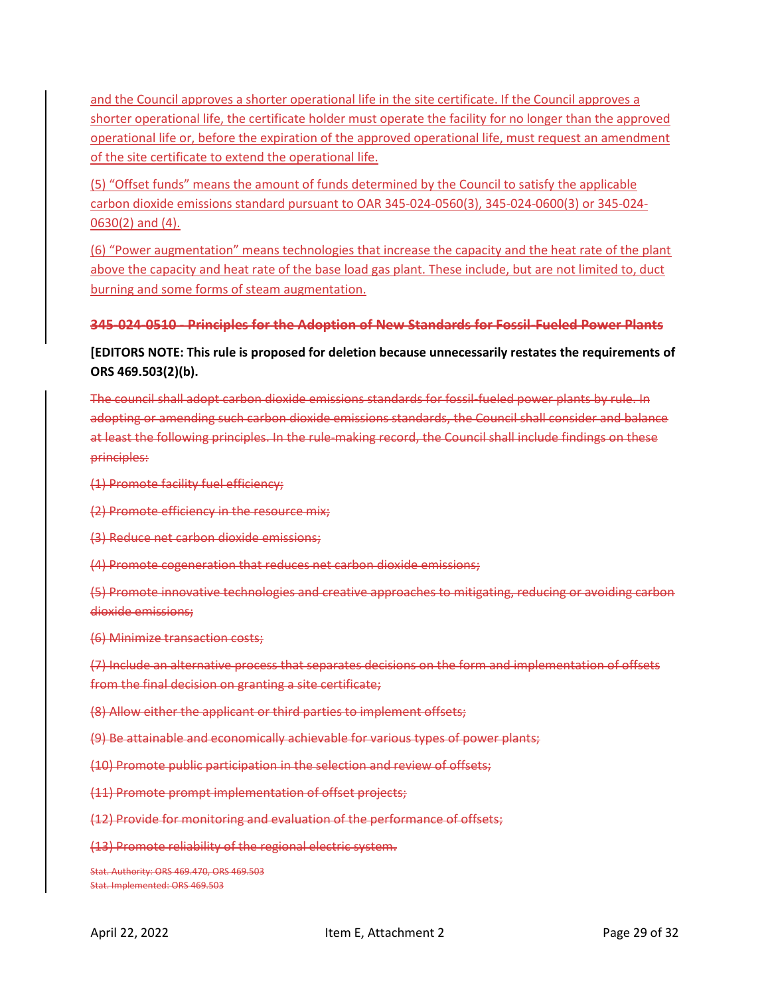and the Council approves a shorter operational life in the site certificate. If the Council approves a shorter operational life, the certificate holder must operate the facility for no longer than the approved operational life or, before the expiration of the approved operational life, must request an amendment of the site certificate to extend the operational life.

(5) "Offset funds" means the amount of funds determined by the Council to satisfy the applicable carbon dioxide emissions standard pursuant to OAR 345-024-0560(3), 345-024-0600(3) or 345-024- 0630(2) and (4).

(6) "Power augmentation" means technologies that increase the capacity and the heat rate of the plant above the capacity and heat rate of the base load gas plant. These include, but are not limited to, duct burning and some forms of steam augmentation.

## **345-024-0510 - Principles for the Adoption of New Standards for Fossil-Fueled Power Plants**

# **[EDITORS NOTE: This rule is proposed for deletion because unnecessarily restates the requirements of ORS 469.503(2)(b).**

The council shall adopt carbon dioxide emissions standards for fossil-fueled power plants by rule. In adopting or amending such carbon dioxide emissions standards, the Council shall consider and balance at least the following principles. In the rule-making record, the Council shall include findings on these principles:

(1) Promote facility fuel efficiency;

(2) Promote efficiency in the resource mix;

(3) Reduce net carbon dioxide emissions;

(4) Promote cogeneration that reduces net carbon dioxide emissions;

(5) Promote innovative technologies and creative approaches to mitigating, reducing or avoiding carbon dioxide emissions;

(6) Minimize transaction costs;

(7) Include an alternative process that separates decisions on the form and implementation of offsets from the final decision on granting a site certificate;

(8) Allow either the applicant or third parties to implement offsets;

(9) Be attainable and economically achievable for various types of power plants;

(10) Promote public participation in the selection and review of offsets;

(11) Promote prompt implementation of offset projects;

(12) Provide for monitoring and evaluation of the performance of offsets;

(13) Promote reliability of the regional electric system.

Stat. Authority: ORS 469.470, ORS 469.503 Stat. Implemented: ORS 469.503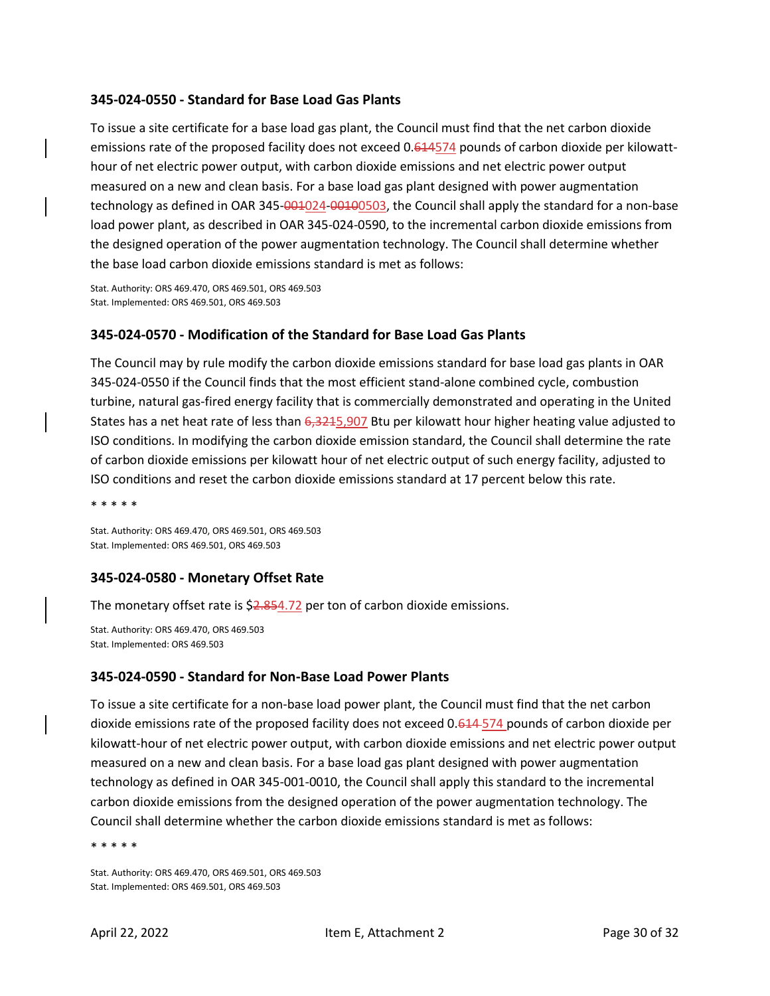### <span id="page-29-0"></span>**345-024-0550 - Standard for Base Load Gas Plants**

To issue a site certificate for a base load gas plant, the Council must find that the net carbon dioxide emissions rate of the proposed facility does not exceed 0.614574 pounds of carbon dioxide per kilowatthour of net electric power output, with carbon dioxide emissions and net electric power output measured on a new and clean basis. For a base load gas plant designed with power augmentation technology as defined in OAR 345-001024-00100503, the Council shall apply the standard for a non-base load power plant, as described in OAR 345-024-0590, to the incremental carbon dioxide emissions from the designed operation of the power augmentation technology. The Council shall determine whether the base load carbon dioxide emissions standard is met as follows:

Stat. Authority: ORS 469.470, ORS 469.501, ORS 469.503 Stat. Implemented: ORS 469.501, ORS 469.503

### <span id="page-29-1"></span>**345-024-0570 - Modification of the Standard for Base Load Gas Plants**

The Council may by rule modify the carbon dioxide emissions standard for base load gas plants in OAR 345-024-0550 if the Council finds that the most efficient stand-alone combined cycle, combustion turbine, natural gas-fired energy facility that is commercially demonstrated and operating in the United States has a net heat rate of less than 6,3215,907 Btu per kilowatt hour higher heating value adjusted to ISO conditions. In modifying the carbon dioxide emission standard, the Council shall determine the rate of carbon dioxide emissions per kilowatt hour of net electric output of such energy facility, adjusted to ISO conditions and reset the carbon dioxide emissions standard at 17 percent below this rate.

\* \* \* \* \*

Stat. Authority: ORS 469.470, ORS 469.501, ORS 469.503 Stat. Implemented: ORS 469.501, ORS 469.503

## <span id="page-29-2"></span>**345-024-0580 - Monetary Offset Rate**

The monetary offset rate is \$2.854.72 per ton of carbon dioxide emissions.

Stat. Authority: ORS 469.470, ORS 469.503 Stat. Implemented: ORS 469.503

### <span id="page-29-3"></span>**345-024-0590 - Standard for Non-Base Load Power Plants**

To issue a site certificate for a non-base load power plant, the Council must find that the net carbon dioxide emissions rate of the proposed facility does not exceed 0.614 574 pounds of carbon dioxide per kilowatt-hour of net electric power output, with carbon dioxide emissions and net electric power output measured on a new and clean basis. For a base load gas plant designed with power augmentation technology as defined in OAR 345-001-0010, the Council shall apply this standard to the incremental carbon dioxide emissions from the designed operation of the power augmentation technology. The Council shall determine whether the carbon dioxide emissions standard is met as follows:

\* \* \* \* \*

Stat. Authority: ORS 469.470, ORS 469.501, ORS 469.503 Stat. Implemented: ORS 469.501, ORS 469.503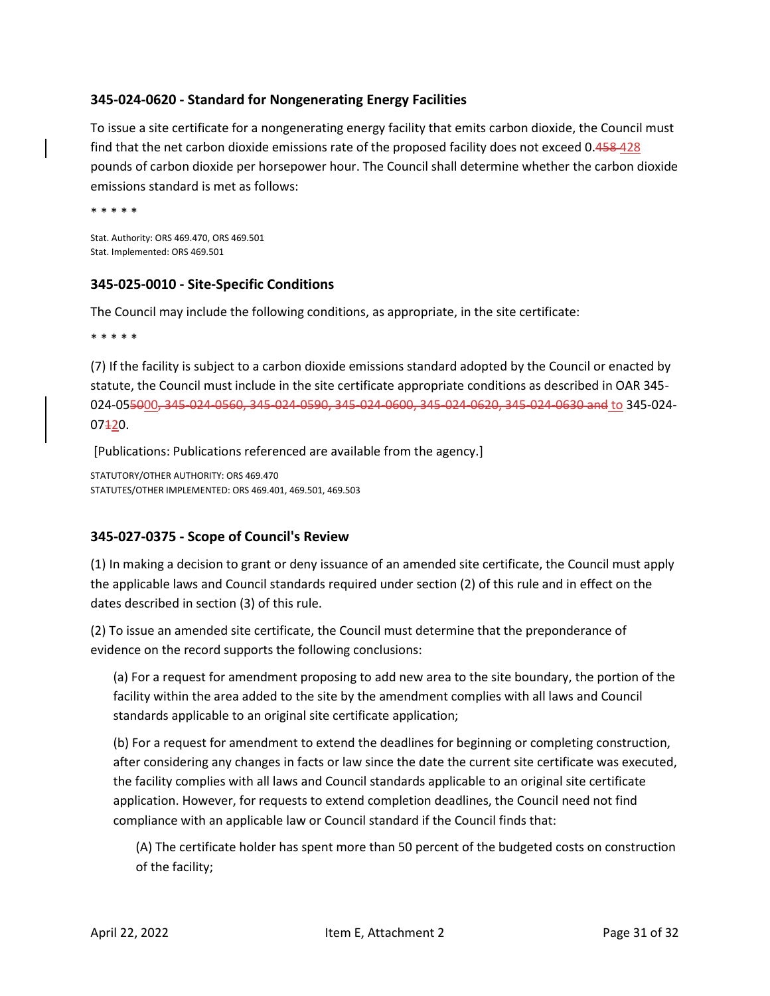# <span id="page-30-0"></span>**345-024-0620 - Standard for Nongenerating Energy Facilities**

To issue a site certificate for a nongenerating energy facility that emits carbon dioxide, the Council must find that the net carbon dioxide emissions rate of the proposed facility does not exceed 0.458-428 pounds of carbon dioxide per horsepower hour. The Council shall determine whether the carbon dioxide emissions standard is met as follows:

\* \* \* \* \*

Stat. Authority: ORS 469.470, ORS 469.501 Stat. Implemented: ORS 469.501

## <span id="page-30-1"></span>**345-025-0010 - Site-Specific Conditions**

The Council may include the following conditions, as appropriate, in the site certificate:

\* \* \* \* \*

(7) If the facility is subject to a carbon dioxide emissions standard adopted by the Council or enacted by statute, the Council must include in the site certificate appropriate conditions as described in OAR 345- 024-055000, 345-024-0560, 345-024-0590, 345-024-0600, 345-024-0620, 345-024-0630 and to 345-024-  $07<sub>120</sub>$ .

[Publications: Publications referenced are available from the agency.]

STATUTORY/OTHER AUTHORITY: ORS 469.470 STATUTES/OTHER IMPLEMENTED: ORS 469.401, 469.501, 469.503

# <span id="page-30-2"></span>**345-027-0375 - Scope of Council's Review**

(1) In making a decision to grant or deny issuance of an amended site certificate, the Council must apply the applicable laws and Council standards required under section (2) of this rule and in effect on the dates described in section (3) of this rule.

(2) To issue an amended site certificate, the Council must determine that the preponderance of evidence on the record supports the following conclusions:

(a) For a request for amendment proposing to add new area to the site boundary, the portion of the facility within the area added to the site by the amendment complies with all laws and Council standards applicable to an original site certificate application;

(b) For a request for amendment to extend the deadlines for beginning or completing construction, after considering any changes in facts or law since the date the current site certificate was executed, the facility complies with all laws and Council standards applicable to an original site certificate application. However, for requests to extend completion deadlines, the Council need not find compliance with an applicable law or Council standard if the Council finds that:

(A) The certificate holder has spent more than 50 percent of the budgeted costs on construction of the facility;